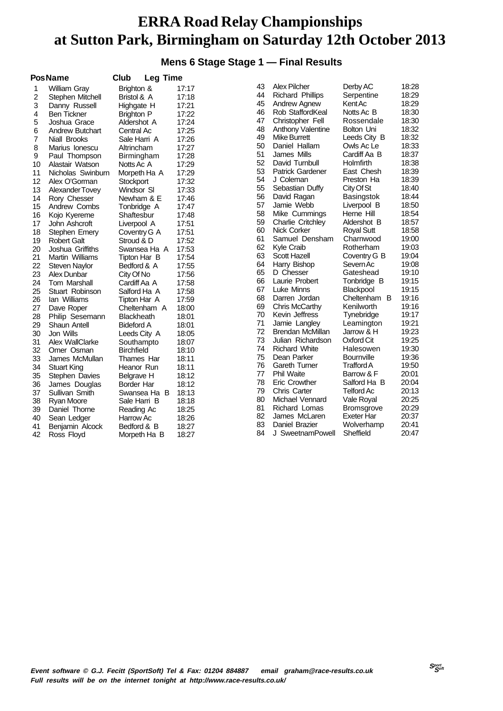### **Mens 6 Stage Stage 1 — Final Results**

|    | <b>PosName</b>         | Club<br>Leg Time  |       |    |                          |                   |       |
|----|------------------------|-------------------|-------|----|--------------------------|-------------------|-------|
| 1  | William Gray           | Brighton &        | 17:17 | 43 | <b>Alex Pilcher</b>      | Derby AC          | 18:28 |
| 2  | Stephen Mitchell       | Bristol & A       | 17:18 | 44 | <b>Richard Phillips</b>  | Serpentine        | 18:29 |
| 3  | Danny Russell          | Highgate H        | 17:21 | 45 | Andrew Agnew             | Kent Ac           | 18:29 |
| 4  | <b>Ben Tickner</b>     | <b>Brighton P</b> | 17:22 | 46 | Rob StaffordKeal         | Notts Ac B        | 18:30 |
| 5  | Joshua Grace           | Aldershot A       | 17:24 | 47 | Christopher Fell         | Rossendale        | 18:30 |
| 6  | <b>Andrew Butchart</b> | Central Ac        | 17:25 | 48 | <b>Anthony Valentine</b> | Bolton Uni        | 18:32 |
| 7  | Niall Brooks           | Sale Harri A      | 17:26 | 49 | Mike Burrett             | Leeds City B      | 18:32 |
| 8  | Marius Ionescu         | Altrincham        | 17:27 | 50 | Daniel Hallam            | Owls Ac Le        | 18:33 |
| 9  | Paul Thompson          | Birmingham        | 17:28 | 51 | James Mills              | Cardiff Aa B      | 18:37 |
| 10 | Alastair Watson        | Notts Ac A        | 17:29 | 52 | David Turnbull           | Holmfirth         | 18:38 |
| 11 | Nicholas Swinburn      | Morpeth Ha A      | 17:29 | 53 | <b>Patrick Gardener</b>  | East Chesh        | 18:39 |
| 12 | Alex O'Gorman          | Stockport         | 17:32 | 54 | J Coleman                | Preston Ha        | 18:39 |
| 13 | Alexander Tovey        | Windsor SI        | 17:33 | 55 | Sebastian Duffy          | City Of St        | 18:40 |
| 14 | Rory Chesser           | Newham & E        | 17:46 | 56 | David Ragan              | Basingstok        | 18:44 |
| 15 | Andrew Combs           | Tonbridge A       | 17:47 | 57 | Jamie Webb               | Liverpool B       | 18:50 |
| 16 | Kojo Kyereme           | Shaftesbur        | 17:48 | 58 | Mike Cummings            | Herne Hill        | 18:54 |
| 17 | John Ashcroft          | Liverpool A       | 17:51 | 59 | <b>Charlie Critchley</b> | Aldershot B       | 18:57 |
| 18 | Stephen Emery          | Coventry G A      | 17:51 | 60 | Nick Corker              | <b>Royal Sutt</b> | 18:58 |
| 19 | <b>Robert Galt</b>     | Stroud & D        | 17:52 | 61 | Samuel Densham           | Charnwood         | 19:00 |
| 20 | Joshua Griffiths       | Swansea Ha A      | 17:53 | 62 | Kyle Craib               | Rotherham         | 19:03 |
| 21 | Martin Williams        | Tipton Har B      | 17:54 | 63 | Scott Hazell             | Coventry G B      | 19:04 |
| 22 | <b>Steven Naylor</b>   | Bedford & A       | 17:55 | 64 | Harry Bishop             | Severn Ac         | 19:08 |
| 23 | Alex Dunbar            | City Of No        | 17:56 | 65 | D Chesser                | Gateshead         | 19:10 |
| 24 | <b>Tom Marshall</b>    | Cardiff Aa A      | 17:58 | 66 | Laurie Probert           | Tonbridge B       | 19:15 |
| 25 | Stuart Robinson        | Salford Ha A      | 17:58 | 67 | Luke Minns               | Blackpool         | 19:15 |
| 26 | lan Williams           | Tipton Har A      | 17:59 | 68 | Darren Jordan            | Cheltenham B      | 19:16 |
| 27 | Dave Roper             | Cheltenham A      | 18:00 | 69 | Chris McCarthy           | Kenilworth        | 19:16 |
| 28 | Philip Sesemann        | <b>Blackheath</b> | 18:01 | 70 | Kevin Jeffress           | Tynebridge        | 19:17 |
| 29 | Shaun Antell           | Bideford A        | 18:01 | 71 | Jamie Langley            | Leamington        | 19:21 |
| 30 | Jon Wills              | Leeds City A      | 18:05 | 72 | Brendan McMillan         | Jarrow & H        | 19:23 |
| 31 | Alex WallClarke        | Southampto        | 18:07 | 73 | Julian Richardson        | Oxford Cit        | 19:25 |
| 32 | Omer Osman             | <b>Birchfield</b> | 18:10 | 74 | <b>Richard White</b>     | Halesowen         | 19:30 |
| 33 | James McMullan         | Thames Har        | 18:11 | 75 | Dean Parker              | <b>Bournville</b> | 19:36 |
| 34 | <b>Stuart King</b>     | Heanor Run        | 18:11 | 76 | <b>Gareth Turner</b>     | <b>Trafford A</b> | 19:50 |
| 35 | Stephen Davies         | Belgrave H        | 18:12 | 77 | <b>Phil Waite</b>        | Barrow & F        | 20:01 |
| 36 | James Douglas          | Border Har        | 18:12 | 78 | <b>Eric Crowther</b>     | Salford Ha B      | 20:04 |
| 37 | Sullivan Smith         | Swansea Ha B      | 18:13 | 79 | <b>Chris Carter</b>      | <b>Telford Ac</b> | 20:13 |
| 38 | Ryan Moore             | Sale Harri B      | 18:18 | 80 | Michael Vennard          | Vale Royal        | 20:25 |
| 39 | Daniel Thorne          | Reading Ac        | 18:25 | 81 | Richard Lomas            | <b>Bromsgrove</b> | 20:29 |
| 40 | Sean Ledger            | Harrow Ac         | 18:26 | 82 | James McLaren            | Exeter Har        | 20:37 |
| 41 | Benjamin Alcock        | Bedford & B       | 18:27 | 83 | Daniel Brazier           | Wolverhamp        | 20:41 |
| 42 | Ross Floyd             | Morpeth Ha B      | 18:27 | 84 | J SweetnamPowell         | Sheffield         | 20:47 |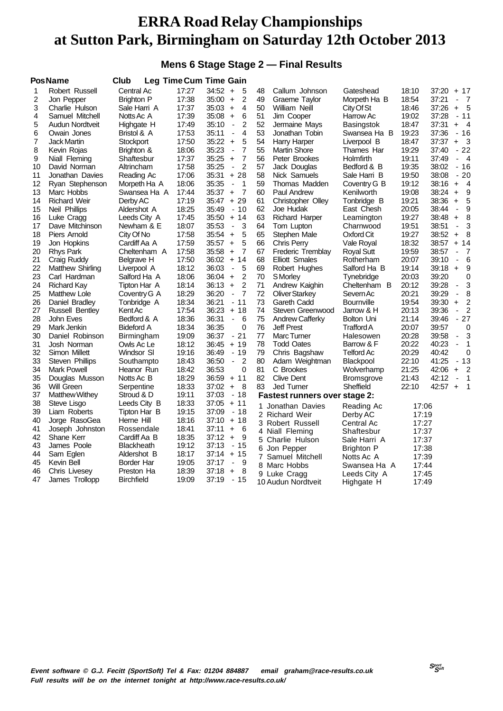### **Mens 6 Stage Stage 2 — Final Results**

|                | <b>PosName</b>          | <b>Club</b>       |       | <b>Leg Time Cum Time Gain</b>                       |    |                                      |                   |       |       |                          |                  |
|----------------|-------------------------|-------------------|-------|-----------------------------------------------------|----|--------------------------------------|-------------------|-------|-------|--------------------------|------------------|
| 1              | Robert Russell          | Central Ac        | 17:27 | $34:52 +$<br>5                                      | 48 | Callum Johnson                       | Gateshead         | 18:10 | 37:20 | $+17$                    |                  |
| $\overline{c}$ | Jon Pepper              | <b>Brighton P</b> | 17:38 | 35:00<br>2<br>$\ddot{}$                             | 49 | Graeme Taylor                        | Morpeth Ha B      | 18:54 | 37:21 | $\blacksquare$           | $\overline{7}$   |
| 3              | Charlie Hulson          | Sale Harri A      | 17:37 | 35:03<br>4<br>$\ddot{}$                             | 50 | William Neill                        | City Of St        | 18:46 | 37:26 | $\ddot{}$                | 5                |
| 4              | Samuel Mitchell         | Notts Ac A        | 17:39 | 35:08<br>6<br>$\ddot{}$                             | 51 | Jim Cooper                           | Harrow Ac         | 19:02 | 37:28 |                          | $-11$            |
| 5              | Audun Nordtveit         | Highgate H        | 17:49 | $\overline{2}$<br>35:10<br>$\overline{\phantom{a}}$ | 52 | Jermaine Mays                        | Basingstok        | 18:47 | 37:31 | $+$                      | $\overline{4}$   |
| 6              | Owain Jones             | Bristol & A       | 17:53 | 35:11<br>4<br>$\frac{1}{2}$                         | 53 | Jonathan Tobin                       | Swansea Ha B      | 19:23 | 37:36 |                          | $-16$            |
| 7              | <b>Jack Martin</b>      | <b>Stockport</b>  | 17:50 | 35:22<br>5<br>$\ddot{}$                             | 54 | <b>Harry Harper</b>                  | Liverpool B       | 18:47 | 37:37 | $+$                      | 3                |
| 8              | Kevin Rojas             | Brighton &        | 18:06 | 35:23<br>7<br>$\blacksquare$                        | 55 | <b>Martin Shore</b>                  | Thames Har        | 19:29 | 37:40 |                          | $-22$            |
| 9              | Niall Fleming           | Shaftesbur        | 17:37 | 35:25<br>7<br>$\ddot{}$                             | 56 | Peter Brookes                        | Holmfirth         | 19:11 | 37:49 | $\blacksquare$           | $\overline{4}$   |
| 10             | David Norman            | Altrincham        | 17:58 | 35:25<br>$\overline{2}$<br>$\blacksquare$           | 57 | Jack Douglas                         | Bedford & B       | 19:35 | 38:02 |                          | $-16$            |
| 11             | Jonathan Davies         | Reading Ac        | 17:06 | 35:31<br>28<br>$+$                                  | 58 | Nick Samuels                         | Sale Harri B      | 19:50 | 38:08 |                          | $-20$            |
| 12             | Ryan Stephenson         | Morpeth Ha A      | 18:06 | 35:35<br>$\mathbf 1$<br>$\blacksquare$              | 59 | Thomas Madden                        | Coventry G B      | 19:12 | 38:16 | $+$                      | $\overline{4}$   |
| 13             | Marc Hobbs              | Swansea Ha A      | 17:44 | 35:37<br>$\ddot{}$<br>-7                            | 60 | Paul Andrew                          | Kenilworth        | 19:08 | 38:24 | $\ddot{}$                | 9                |
| 14             | <b>Richard Weir</b>     | Derby AC          | 17:19 | 35:47<br>$+29$                                      | 61 | Christopher Olley                    | Tonbridge B       | 19:21 | 38:36 | $+$                      | 5                |
| 15             | Neil Phillips           | Aldershot A       | 18:25 | 35:49<br>- 10                                       | 62 | Joe Hudak                            | East Chesh        | 20:05 | 38:44 | $\overline{\phantom{a}}$ | 9                |
| 16             | Luke Cragg              | Leeds City A      | 17:45 | 35:50<br>14<br>$+$                                  | 63 | <b>Richard Harper</b>                | Leamington        | 19:27 | 38:48 | $\ddot{}$                | 8                |
| 17             | Dave Mitchinson         | Newham & E        | 18:07 | 35:53<br>3<br>$\blacksquare$                        | 64 | Tom Lupton                           | Charnwood         | 19:51 | 38:51 | $\blacksquare$           | 3                |
| 18             | Piers Arnold            | City Of No        | 17:58 | 35:54<br>$\ddot{}$<br>5                             | 65 | Stephen Male                         | Oxford Cit        | 19:27 | 38:52 | +                        | 8                |
| 19             | Jon Hopkins             | Cardiff Aa A      | 17:59 | 5<br>35:57<br>$\ddot{}$                             | 66 | Chris Perry                          | Vale Royal        | 18:32 | 38:57 | + 14                     |                  |
| 20             | <b>Rhys Park</b>        | Cheltenham A      | 17:58 | 35:58<br>$\overline{7}$<br>$\ddot{}$                | 67 | Frederic Tremblay                    | <b>Royal Sutt</b> | 19:59 | 38:57 | $\blacksquare$           | 7                |
| 21             | Craig Ruddy             | Belgrave H        | 17:50 | $36:02 +$<br>14                                     | 68 | Elliott Smales                       | Rotherham         | 20:07 | 39:10 | $\blacksquare$           | 6                |
| 22             | <b>Matthew Shirling</b> | Liverpool A       | 18:12 | 5<br>36:03<br>$\blacksquare$                        | 69 | Robert Hughes                        | Salford Ha B      | 19:14 | 39:18 | $\ddot{}$                | $\boldsymbol{9}$ |
| 23             | Carl Hardman            | Salford Ha A      | 18:06 | 2<br>36:04<br>$\ddot{}$                             | 70 | <b>S</b> Morley                      | Tynebridge        | 20:03 | 39:20 |                          | 0                |
| 24             | <b>Richard Kay</b>      | Tipton Har A      | 18:14 | 36:13<br>$\ddot{}$<br>2                             | 71 | Andrew Kaighin                       | Cheltenham B      | 20:12 | 39:28 | $\overline{\phantom{a}}$ | 3                |
| 25             | <b>Matthew Lole</b>     | Coventry G A      | 18:29 | 36:20<br>7<br>$\blacksquare$                        | 72 | <b>Oliver Starkey</b>                | Severn Ac         | 20:21 | 39:29 | ÷,                       | 8                |
| 26             | Daniel Bradley          | Tonbridge A       | 18:34 | 36:21<br>11<br>$\blacksquare$                       | 73 | Gareth Cadd                          | <b>Bournville</b> | 19:54 | 39:30 | $\ddot{}$                | 2                |
| 27             | <b>Russell Bentley</b>  | Kent Ac           | 17:54 | 36:23<br>$+18$                                      | 74 | Steven Greenwood                     | Jarrow & H        | 20:13 | 39:36 | $\frac{1}{2}$            | 2                |
| 28             | John Eves               | Bedford & A       | 18:36 | 36:31<br>6<br>$\overline{\phantom{a}}$              | 75 | <b>Andrew Cafferky</b>               | Bolton Uni        | 21:14 | 39:46 | $\blacksquare$           | 27               |
| 29             | Mark Jenkin             | <b>Bideford A</b> | 18:34 | 36:35<br>0                                          | 76 | <b>Jeff Prest</b>                    | Trafford A        | 20:07 | 39:57 |                          | 0                |
| 30             | Daniel Robinson         | Birmingham        | 19:09 | 36:37<br>$-21$                                      | 77 | Marc Turner                          | Halesowen         | 20:28 | 39:58 | $\overline{\phantom{a}}$ | 3                |
| 31             | Josh Norman             | Owls Ac Le        | 18:12 | 36:45<br>$+19$                                      | 78 | <b>Todd Oates</b>                    | Barrow & F        | 20:22 | 40:23 | $\blacksquare$           | 1                |
| 32             | Simon Millett           | Windsor SI        | 19:16 | 36:49<br>- 19                                       | 79 | Chris Bagshaw                        | Telford Ac        | 20:29 | 40:42 |                          | 0                |
| 33             | Steven Phillips         | Southampto        | 18:43 | 36:50<br>2<br>$\blacksquare$                        | 80 | Adam Weightman                       | <b>Blackpool</b>  | 22:10 | 41:25 |                          | $-13$            |
| 34             | Mark Powell             | Heanor Run        | 18:42 | 36:53<br>$\mathbf 0$                                | 81 | C Brookes                            | Wolverhamp        | 21:25 | 42:06 | $+$                      | $\overline{2}$   |
| 35             | Douglas Musson          | Notts Ac B        | 18:29 | 36:59<br>$+ 11$                                     | 82 | <b>Clive Dent</b>                    | <b>Bromsgrove</b> | 21:43 | 42:12 | ÷,                       | $\mathbf{1}$     |
| 36             | Will Green              | Serpentine        | 18:33 | 37:02<br>$\ddot{}$<br>- 8                           | 83 | <b>Jed Turner</b>                    | Sheffield         | 22:10 | 42:57 | $+$                      | $\overline{1}$   |
| 37             | <b>Matthew Withey</b>   | Stroud & D        | 19:11 | 37:03<br>$-18$                                      |    | <b>Fastest runners over stage 2:</b> |                   |       |       |                          |                  |
| 38             | Steve Lisgo             | Leeds City B      | 18:33 | 37:05<br>$+11$                                      | 1. | Jonathan Davies                      | Reading Ac        | 17:06 |       |                          |                  |
| 39             | Liam Roberts            | Tipton Har B      | 19:15 | 37:09<br>$-18$                                      |    | 2 Richard Weir                       | Derby AC          | 17:19 |       |                          |                  |
| 40             | Jorge RasoGea           | Herne Hill        | 18:16 | 37:10<br>+ 18                                       |    | 3 Robert Russell                     | Central Ac        | 17:27 |       |                          |                  |
| 41             | Joseph Johnston         | Rossendale        | 18:41 | 37:11<br>6<br>$\pm$                                 |    | 4 Niall Fleming                      | Shaftesbur        | 17:37 |       |                          |                  |
| 42             | Shane Kerr              | Cardiff Aa B      | 18:35 | 37:12<br>9<br>$\pm$                                 |    | 5 Charlie Hulson                     | Sale Harri A      | 17:37 |       |                          |                  |
| 43             | James Poole             | <b>Blackheath</b> | 19:12 | 37:13<br>$-15$                                      |    | 6 Jon Pepper                         | <b>Brighton P</b> | 17:38 |       |                          |                  |
| 44             | Sam Eglen               | Aldershot B       | 18:17 | $37:14 + 15$                                        |    | 7 Samuel Mitchell                    | Notts Ac A        | 17:39 |       |                          |                  |
| 45             | Kevin Bell              | Border Har        | 19:05 | 37:17<br>9<br>$\blacksquare$                        |    | 8 Marc Hobbs                         | Swansea Ha A      | 17:44 |       |                          |                  |
| 46             | Chris Livesey           | Preston Ha        | 18:39 | 37:18<br>8<br>$\ddot{}$                             |    | 9 Luke Cragg                         | Leeds City A      | 17:45 |       |                          |                  |
| 47             | James Trollopp          | <b>Birchfield</b> | 19:09 | 37:19<br>- 15                                       |    | 10 Audun Nordtveit                   | Highgate H        | 17:49 |       |                          |                  |
|                |                         |                   |       |                                                     |    |                                      |                   |       |       |                          |                  |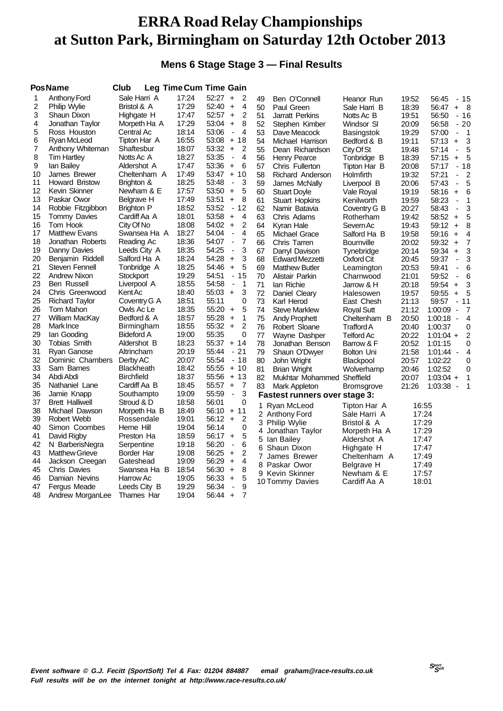### **Mens 6 Stage Stage 3 — Final Results**

|    | Pos Name               | Club              |       | Leg Time Cum Time Gain                             |    |                               |                   |       |                                          |
|----|------------------------|-------------------|-------|----------------------------------------------------|----|-------------------------------|-------------------|-------|------------------------------------------|
| 1  | Anthony Ford           | Sale Harri A      | 17:24 | $52:27 +$<br>2                                     | 49 | Ben O'Connell                 | Heanor Run        | 19:52 | 56:45<br>- 15                            |
| 2  | Philip Wylie           | Bristol & A       | 17:29 | 52:40<br>4<br>$\ddot{}$                            | 50 | Paul Green                    | Sale Harri B      | 18:39 | 56:47<br>- 8<br>$\ddot{}$                |
| 3  | Shaun Dixon            | Highgate H        | 17:47 | 52:57<br>$\ddot{}$<br>2                            | 51 | <b>Jarratt Perkins</b>        | Notts Ac B        | 19:51 | 56:50<br>$-16$                           |
| 4  | Jonathan Taylor        | Morpeth Ha A      | 17:29 | 53:04<br>$\ddot{}$<br>8                            | 52 | Stephen Kimber                | Windsor SI        | 20:09 | 56:58<br>$-20$                           |
| 5  | Ross Houston           | Central Ac        | 18:14 | 53:06<br>$\blacksquare$<br>4                       | 53 | Dave Meacock                  | Basingstok        | 19:29 | 57:00<br>1<br>$\blacksquare$             |
| 6  | Ryan McLeod            | Tipton Har A      | 16:55 | 53:08<br>+ 18                                      | 54 | Michael Harrison              | Bedford & B       | 19:11 | 3<br>57:13<br>$\ddot{}$                  |
| 7  | Anthony Whiteman       | Shaftesbur        | 18:07 | 53:32<br>2<br>$\ddot{}$                            | 55 | Dean Richardson               | City Of St        | 19:48 | 5<br>57:14<br>$\blacksquare$             |
| 8  | <b>Tim Hartley</b>     | Notts Ac A        | 18:27 | 53:35<br>4<br>Ĭ.                                   | 56 | Henry Pearce                  | Tonbridge B       | 18:39 | 57:15<br>5<br>$+$                        |
| 9  | lan Bailey             | Aldershot A       | 17:47 | 53:36<br>6<br>$\ddot{}$                            | 57 | Chris Fullerton               | Tipton Har B      | 20:08 | 57:17<br>- 18                            |
| 10 | James Brewer           | Cheltenham A      | 17:49 | 53:47<br>$+$<br>10                                 | 58 | Richard Anderson              | Holmfirth         | 19:32 | 57:21<br>2<br>$\blacksquare$             |
| 11 | <b>Howard Bristow</b>  | Brighton &        | 18:25 | 53:48<br>3<br>$\blacksquare$                       | 59 | James McNally                 | Liverpool B       | 20:06 | 5<br>57:43<br>$\overline{\phantom{a}}$   |
| 12 | Kevin Skinner          | Newham & E        | 17:57 | 5<br>53:50<br>$+$                                  | 60 | <b>Stuart Doyle</b>           | Vale Royal        | 19:19 | 58:16<br>$+$<br>6                        |
| 13 | Paskar Owor            | <b>Belgrave H</b> | 17:49 | 53:51<br>$\ddot{}$<br>8                            | 61 | <b>Stuart Hopkins</b>         | Kenilworth        | 19:59 | 58:23<br>1<br>$\overline{a}$             |
| 14 | Robbie Fitzgibbon      | <b>Brighton P</b> | 18:52 | 53:52<br>12<br>$\blacksquare$                      | 62 | Namir Batavia                 | Coventry G B      | 20:27 | 3<br>58:43<br>$\overline{\phantom{a}}$   |
| 15 | <b>Tommy Davies</b>    | Cardiff Aa A      | 18:01 | 53:58<br>$\overline{4}$<br>$\ddot{}$               | 63 | Chris Adams                   | Rotherham         | 19:42 | 58:52<br>5<br>$\ddot{}$                  |
| 16 | Tom Hook               | City Of No        | 18:08 | 2<br>54:02<br>$\ddot{}$                            | 64 | Kyran Hale                    | Severn Ac         | 19:43 | 59:12<br>$\ddot{}$<br>8                  |
| 17 | <b>Matthew Evans</b>   | Swansea Ha A      | 18:27 | 54:04<br>$\overline{\mathbf{4}}$<br>$\blacksquare$ | 65 | Michael Grace                 | Salford Ha B      | 19:58 | 59:16<br>4<br>$\ddot{}$                  |
| 18 | Jonathan Roberts       | Reading Ac        | 18:36 | 54:07<br>7<br>$\blacksquare$                       | 66 | Chris Tarren                  | Bournville        | 20:02 | 59:32<br>7<br>$\ddot{}$                  |
| 19 | Danny Davies           | Leeds City A      | 18:35 | 54:25<br>3<br>÷                                    | 67 | Darryl Davison                | Tynebridge        | 20:14 | 3<br>59:34<br>$\ddot{}$                  |
| 20 | Benjamin Riddell       | Salford Ha A      | 18:24 | 3<br>54:28<br>$\ddot{}$                            | 68 | Edward Mezzetti               | Oxford Cit        | 20:45 | 59:37<br>3<br>$\overline{\phantom{a}}$   |
| 21 | Steven Fennell         | Tonbridge A       | 18:25 | 54:46<br>5<br>$\ddot{}$                            | 69 | <b>Matthew Butler</b>         | Leamington        | 20:53 | 59:41<br>6<br>÷                          |
| 22 | <b>Andrew Nixon</b>    | Stockport         | 19:29 | 54:51<br>15<br>$\blacksquare$                      | 70 | Alistair Parkin               | Charnwood         | 21:01 | 59:52<br>6<br>$\blacksquare$             |
| 23 | Ben Russell            | Liverpool A       | 18:55 | 54:58<br>1<br>÷,                                   | 71 | lan Richie                    | Jarrow & H        | 20:18 | 59:54<br>3<br>$\ddot{}$                  |
| 24 | Chris Greenwood        | Kent Ac           | 18:40 | 3<br>55:03<br>$\ddot{}$                            | 72 | Daniel Cleary                 | Halesowen         | 19:57 | 59:55<br>5<br>$\ddot{}$                  |
| 25 | <b>Richard Taylor</b>  | Coventry G A      | 18:51 | 55:11<br>0                                         | 73 | Karl Herod                    | East Chesh        | 21:13 | 59:57<br>$-11$                           |
| 26 | Tom Mahon              | Owls Ac Le        | 18:35 | 55:20<br>5<br>$\ddot{}$                            | 74 | <b>Steve Marklew</b>          | <b>Royal Sutt</b> | 21:12 | 1:00:09<br>7<br>$\blacksquare$           |
| 27 | William MacKay         | Bedford & A       | 18:57 | 55:28<br>$\ddot{}$<br>1                            | 75 | Andy Prophett                 | Cheltenham B      | 20:50 | 1:00:18<br>4<br>$\overline{\phantom{a}}$ |
| 28 | Mark Ince              | Birmingham        | 18:55 | 55:32<br>2<br>$\ddot{}$                            | 76 | Robert Sloane                 | <b>Trafford A</b> | 20:40 | 0<br>1:00:37                             |
| 29 | lan Gooding            | <b>Bideford A</b> | 19:00 | 55:35<br>0                                         | 77 | Wayne Dashper                 | Telford Ac        | 20:22 | 2<br>$1:01:04 +$                         |
| 30 | Tobias Smith           | Aldershot B       | 18:23 | 55:37<br>$+ 14$                                    | 78 | Jonathan Benson               | Barrow & F        | 20:52 | 0<br>1:01:15                             |
| 31 | Ryan Ganose            | Altrincham        | 20:19 | $-21$<br>55:44                                     | 79 | Shaun O'Dwyer                 | Bolton Uni        | 21:58 | $1:01:44 -$<br>4                         |
| 32 | Dominic Chambers       | Derby AC          | 20:07 | 55:54<br>$-18$                                     | 80 | John Wright                   | Blackpool         | 20:57 | 1:02:22<br>0                             |
| 33 | Sam Barnes             | <b>Blackheath</b> | 18:42 | $+10$<br>55:55                                     | 81 | <b>Brian Wright</b>           | Wolverhamp        | 20:46 | 1:02:52<br>0                             |
| 34 | Abdi Abdi              | <b>Birchfield</b> | 18:37 | 55:56<br>$+13$                                     | 82 | Mukhtar Mohammed Sheffield    |                   | 20:07 | $1:03:04 +$<br>1                         |
| 35 | Nathaniel Lane         | Cardiff Aa B      | 18:45 | $\overline{7}$<br>55:57<br>$\ddot{}$               | 83 | Mark Appleton                 | <b>Bromsgrove</b> | 21:26 | 1:03:38<br>1<br>$\blacksquare$           |
| 36 | Jamie Knapp            | Southampto        | 19:09 | 3<br>55:59<br>$\blacksquare$                       |    | Fastest runners over stage 3: |                   |       |                                          |
| 37 | <b>Brett Halliwell</b> | Stroud & D        | 18:58 | 0<br>56:01                                         |    | 1 Ryan McLeod                 | Tipton Har A      | 16:55 |                                          |
| 38 | Michael Dawson         | Morpeth Ha B      | 18:49 | 56:10<br>$+11$                                     |    | 2 Anthony Ford                | Sale Harri A      | 17:24 |                                          |
| 39 | Robert Webb            | Rossendale        | 19:01 | 2<br>$56:12 +$                                     |    | 3 Philip Wylie                | Bristol & A       | 17:29 |                                          |
| 40 | Simon Coombes          | Herne Hill        | 19:04 | $\Omega$<br>56:14                                  |    | 4 Jonathan Taylor             | Morpeth Ha A      | 17:29 |                                          |
| 41 | David Rigby            | Preston Ha        | 18:59 | 5<br>$56:17 +$                                     |    | 5 Ian Bailey                  | Aldershot A       | 17:47 |                                          |
| 42 | N BarberisNegra        | Serpentine        | 19:18 | 6<br>56:20<br>$\blacksquare$                       |    | 6 Shaun Dixon                 | Highgate H        | 17:47 |                                          |
| 43 | <b>Matthew Grieve</b>  | Border Har        | 19:08 | 56:25<br>2<br>$\ddot{}$                            | 7  | James Brewer                  | Cheltenham A      | 17:49 |                                          |
| 44 | Jackson Creegan        | Gateshead         | 19:09 | 56:29<br>4<br>$\ddot{}$                            |    | 8 Paskar Owor                 | Belgrave H        | 17:49 |                                          |
| 45 | <b>Chris Davies</b>    | Swansea Ha B      | 18:54 | 8<br>56:30<br>$+$                                  |    | 9 Kevin Skinner               | Newham & E        | 17:57 |                                          |
| 46 | Damian Nevins          | Harrow Ac         | 19:05 | 5<br>56:33<br>$\ddot{}$                            |    | 10 Tommy Davies               | Cardiff Aa A      | 18:01 |                                          |
| 47 | Fergus Meade           | Leeds City B      | 19:29 | 56:34<br>9<br>l,                                   |    |                               |                   |       |                                          |
| 48 | Andrew MorganLee       | Thames Har        | 19:04 | $\overline{7}$<br>56:44<br>$+$                     |    |                               |                   |       |                                          |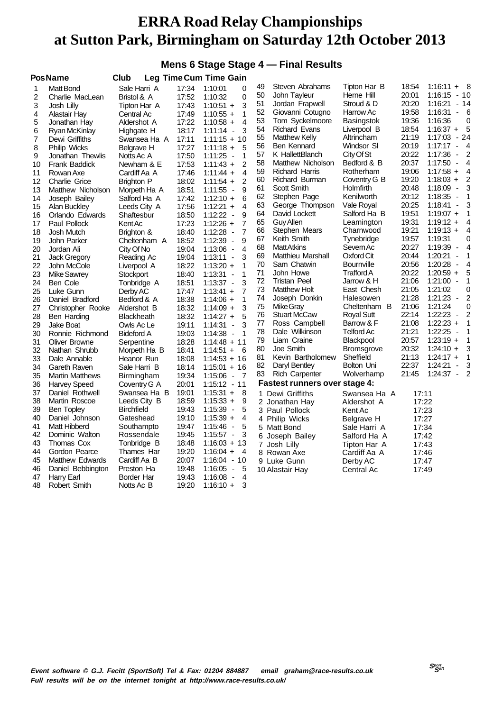### **Mens 6 Stage Stage 4 — Final Results**

|    | <b>PosName</b>         | Club              |       | Leg Time Cum Time Gain                              |    |                                      |                   |       |                                     |                |
|----|------------------------|-------------------|-------|-----------------------------------------------------|----|--------------------------------------|-------------------|-------|-------------------------------------|----------------|
| 1  | <b>Matt Bond</b>       | Sale Harri A      | 17:34 | 1:10:01<br>0                                        | 49 | Steven Abrahams                      | Tipton Har B      | 18:54 | $1:16:11 + 8$                       |                |
| 2  | Charlie MacLean        | Bristol & A       | 17:52 | 0<br>1:10:32                                        | 50 | John Tayleur                         | Herne Hill        | 20:01 | 1:16:15                             | $-10$          |
| 3  | Josh Lilly             | Tipton Har A      | 17:43 | 3<br>$1:10:51 +$                                    | 51 | Jordan Frapwell                      | Stroud & D        | 20:20 | 1:16:21                             | - 14           |
| 4  | Alastair Hay           | Central Ac        | 17:49 | $\mathbf{1}$<br>$1:10:55 +$                         | 52 | Giovanni Cotugno                     | Harrow Ac         | 19:58 | 1:16:31                             | $-6$           |
| 5  | Jonathan Hay           | Aldershot A       | 17:22 | $\overline{4}$<br>$1:10:58 +$                       | 53 | Tom Syckelmoore                      | Basingstok        | 19:36 | 1:16:36                             | 0              |
| 6  | Ryan McKinlay          | Highgate H        | 18:17 | 3<br>$1:11:14 -$                                    | 54 | <b>Richard Evans</b>                 | Liverpool B       | 18:54 | $1:16:37 +$                         | 5              |
| 7  | Dewi Griffiths         | Swansea Ha A      | 17:11 | $1:11:15 + 10$                                      | 55 | <b>Matthew Kelly</b>                 | Altrincham        | 21:19 | 1:17:03                             | - 24           |
| 8  | Philip Wicks           | Belgrave H        | 17:27 | $1:11:18 +$<br>5                                    | 56 | <b>Ben Kennard</b>                   | Windsor SI        | 20:19 | 1:17:17                             | $-4$           |
| 9  | Jonathan Thewlis       | Notts Ac A        | 17:50 | 1<br>1:11:25<br>$\blacksquare$                      | 57 | K HallettBlanch                      | City Of St        | 20:22 | 1:17:36<br>$\blacksquare$           | $\overline{2}$ |
| 10 | <b>Frank Baddick</b>   | Newham & E        | 17:53 | $\overline{c}$<br>$1:11:43 +$                       | 58 | Matthew Nicholson                    | Bedford & B       | 20:37 | 1:17:50<br>$\blacksquare$           | $\overline{4}$ |
| 11 | Rowan Axe              | Cardiff Aa A      | 17:46 | $\overline{4}$<br>$1:11:44 +$                       | 59 | <b>Richard Harris</b>                | Rotherham         | 19:06 | $1:17:58 +$                         | $\overline{4}$ |
| 12 | <b>Charlie Grice</b>   | <b>Brighton P</b> | 18:02 | 2<br>$1:11:54 +$                                    | 60 | Richard Burman                       | Coventry G B      | 19:20 | $1:18:03 +$                         | $\overline{c}$ |
| 13 | Matthew Nicholson      | Morpeth Ha A      | 18:51 | 9<br>1:11:55<br>$\overline{\phantom{a}}$            | 61 | Scott Smith                          | Holmfirth         | 20:48 | 1:18:09<br>$\blacksquare$           | 3              |
| 14 | Joseph Bailey          | Salford Ha A      | 17:42 | 6<br>$1:12:10 +$                                    | 62 | Stephen Page                         | Kenilworth        | 20:12 | $1:18:35 -$                         | 1              |
| 15 | Alan Buckley           | Leeds City A      | 17:56 | $\overline{4}$<br>$1:12:21 +$                       | 63 | George Thompson                      | Vale Royal        | 20:25 | 1:18:41<br>$\overline{\phantom{a}}$ | 3              |
| 16 | Orlando Edwards        | Shaftesbur        | 18:50 | 9<br>$1:12:22 -$                                    | 64 | David Lockett                        | Salford Ha B      | 19:51 | $1:19:07 +$                         | 1              |
| 17 | Paul Pollock           | Kent Ac           | 17:23 | $\overline{7}$<br>$1:12:26 +$                       | 65 | Guy Allen                            | Leamington        | 19:31 | $1:19:12 +$                         | $\overline{4}$ |
| 18 | Josh Mutch             | Brighton &        | 18:40 | $\overline{7}$<br>1:12:28<br>$\blacksquare$         | 66 | Stephen Mears                        | Charnwood         | 19:21 | $1:19:13 +$                         | $\overline{4}$ |
| 19 | John Parker            | Cheltenham A      | 18:52 | 9<br>1:12:39<br>$\overline{\phantom{a}}$            | 67 | Keith Smith                          | Tynebridge        | 19:57 | 1:19:31                             | 0              |
| 20 | Jordan Ali             | City Of No        | 19:04 | $\overline{4}$<br>1:13:06<br>$\blacksquare$         | 68 | <b>MattAtkins</b>                    | Severn Ac         | 20:27 | 1:19:39<br>$\blacksquare$           | $\overline{4}$ |
| 21 | Jack Gregory           | Reading Ac        | 19:04 | 3<br>$1:13:11 -$                                    | 69 | <b>Matthieu Marshall</b>             | Oxford Cit        | 20:44 | 1:20:21<br>$\overline{\phantom{a}}$ | 1              |
| 22 | John McCole            | Liverpool A       | 18:22 | $\mathbf{1}$<br>$1:13:20 +$                         | 70 | Sam Chatwin                          | <b>Bournville</b> | 20:56 | 1:20:28<br>$\blacksquare$           | 4              |
| 23 | Mike Sawrey            | Stockport         | 18:40 | 1<br>$1:13:31 -$                                    | 71 | John Howe                            | <b>Trafford A</b> | 20:22 | $1:20:59 +$                         | 5              |
| 24 | Ben Cole               | Tonbridge A       | 18:51 | 3<br>$1:13:37 -$                                    | 72 | <b>Tristan Peel</b>                  | Jarrow & H        | 21:06 | 1:21:00<br>$\blacksquare$           | 1              |
| 25 | Luke Gunn              | Derby AC          | 17:47 | $\overline{7}$<br>$1:13:41 +$                       | 73 | <b>Matthew Holt</b>                  | East Chesh        | 21:05 | 1:21:02                             | 0              |
| 26 | Daniel Bradford        | Bedford & A       | 18:38 | 1<br>$1:14:06 +$                                    | 74 | Joseph Donkin                        | Halesowen         | 21:28 | 1:21:23<br>$\blacksquare$           | $\overline{c}$ |
| 27 | Christopher Rooke      | Aldershot B       | 18:32 | 3<br>$1:14:09 +$                                    | 75 | Mike Gray                            | Cheltenham B      | 21:06 | 1:21:24                             | 0              |
| 28 | Ben Harding            | Blackheath        | 18:32 | 5<br>$1:14:27 +$                                    | 76 | <b>Stuart McCaw</b>                  | <b>Royal Sutt</b> | 22:14 | 1:22:23<br>$\blacksquare$           | 2              |
| 29 | <b>Jake Boat</b>       | Owls Ac Le        | 19:11 | 3<br>1:14:31<br>$\blacksquare$                      | 77 | Ross Campbell                        | Barrow & F        | 21:08 | $1:22:23 +$                         | $\mathbf{1}$   |
| 30 | Ronnie Richmond        | <b>Bideford A</b> | 19:03 | $\mathbf{1}$<br>1:14:38<br>$\overline{\phantom{a}}$ | 78 | Dale Wilkinson                       | Telford Ac        | 21:21 | 1:22:25<br>$\blacksquare$           | $\mathbf 1$    |
| 31 | <b>Oliver Browne</b>   | Serpentine        | 18:28 | $1:14:48 + 11$                                      | 79 | Liam Craine                          | Blackpool         | 20:57 | $1:23:19 +$                         | $\mathbf 1$    |
| 32 | Nathan Shrubb          | Morpeth Ha B      | 18:41 | $1:14:51 +$<br>- 6                                  | 80 | Joe Smith                            | <b>Bromsgrove</b> | 20:32 | $1:24:10 +$                         | 3              |
| 33 | Dale Annable           | Heanor Run        | 18:08 | $1:14:53 + 16$                                      | 81 | Kevin Bartholomew                    | Sheffield         | 21:13 | $1:24:17 +$                         | $\mathbf 1$    |
| 34 | <b>Gareth Raven</b>    | Sale Harri B      | 18:14 | $1:15:01 + 16$                                      | 82 | Daryl Bentley                        | Bolton Uni        | 22:37 | 1:24:21<br>$\blacksquare$           | 3              |
| 35 | <b>Martin Matthews</b> | Birmingham        | 19:34 | $1:15:06 -$<br>- 7                                  | 83 | <b>Rich Carpenter</b>                | Wolverhamp        | 21:45 | $1:24:37 -$                         | $\overline{2}$ |
| 36 | <b>Harvey Speed</b>    | Coventry G A      | 20:01 | $1:15:12 - 11$                                      |    | <b>Fastest runners over stage 4:</b> |                   |       |                                     |                |
| 37 | Daniel Rothwell        | Swansea Ha B      | 19:01 | $1:15:31 +$<br>8                                    |    | 1 Dewi Griffiths                     | Swansea Ha A      | 17:11 |                                     |                |
| 38 | Martin Roscoe          | Leeds City B      | 18:59 | $1:15:33 +$<br>9                                    |    | 2 Jonathan Hay                       | Aldershot A       | 17:22 |                                     |                |
| 39 | <b>Ben Topley</b>      | <b>Birchfield</b> | 19:43 | 5<br>1:15:39<br>$\blacksquare$                      |    | 3 Paul Pollock                       | Kent Ac           | 17:23 |                                     |                |
| 40 | Daniel Johnson         | Gateshead         | 19:10 | $1:15:39 +$<br>4                                    |    | 4 Philip Wicks                       | Belgrave H        | 17:27 |                                     |                |
| 41 | Matt Hibberd           | Southampto        | 19:47 | 5<br>1:15:46<br>$\blacksquare$                      |    | 5 Matt Bond                          | Sale Harri A      | 17:34 |                                     |                |
| 42 | Dominic Walton         | Rossendale        | 19:45 | $1:15:57 -$<br>3                                    |    | 6 Joseph Bailey                      | Salford Ha A      | 17:42 |                                     |                |
| 43 | <b>Thomas Cox</b>      | Tonbridge B       | 18:48 | $1:16:03 + 13$                                      |    | 7 Josh Lilly                         | Tipton Har A      | 17:43 |                                     |                |
| 44 | Gordon Pearce          | Thames Har        | 19:20 | $1:16:04 +$<br>$\overline{4}$                       |    | 8 Rowan Axe                          | Cardiff Aa A      | 17:46 |                                     |                |
| 45 | Matthew Edwards        | Cardiff Aa B      | 20:07 | 1:16:04 - 10                                        |    | 9 Luke Gunn                          | Derby AC          | 17:47 |                                     |                |
| 46 | Daniel Bebbington      | Preston Ha        | 19:48 | 5<br>$1:16:05 -$                                    |    | 10 Alastair Hay                      | Central Ac        | 17:49 |                                     |                |
| 47 | Harry Earl             | Border Har        | 19:43 | 4<br>1:16:08<br>$\overline{\phantom{a}}$            |    |                                      |                   |       |                                     |                |
| 48 | Robert Smith           | Notts Ac B        | 19:20 | $1:16:10 +$<br>3                                    |    |                                      |                   |       |                                     |                |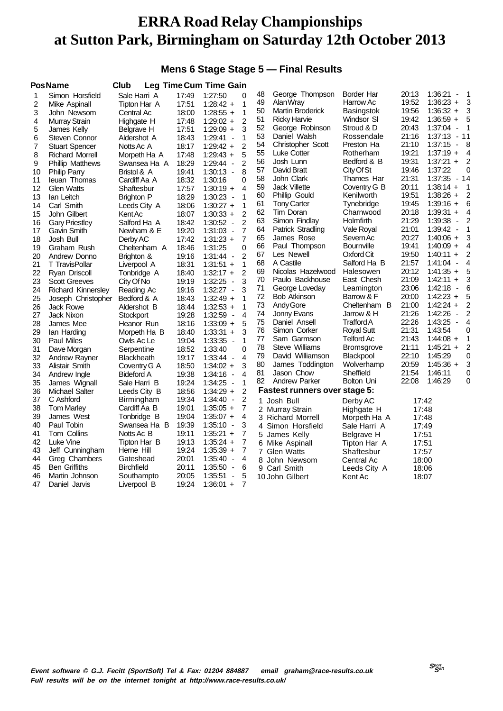### **Mens 6 Stage Stage 5 — Final Results**

|    | <b>PosName</b>            | <b>Club</b>       |       | <b>Leg Time Cum Time Gain</b>       |                |    |                                      |                   |       |                                     |                |
|----|---------------------------|-------------------|-------|-------------------------------------|----------------|----|--------------------------------------|-------------------|-------|-------------------------------------|----------------|
| 1  | Simon Horsfield           | Sale Harri A      | 17:49 | 1:27:50                             | $\Omega$       | 48 | George Thompson                      | Border Har        | 20:13 | 1:36:21<br>$\blacksquare$           | -1             |
| 2  | Mike Aspinall             | Tipton Har A      | 17:51 | $1:28:42 +$                         | 1              | 49 | Alan Wray                            | Harrow Ac         | 19:52 | $1:36:23 +$                         | 3              |
| 3  | John Newsom               | Central Ac        | 18:00 | $1:28:55 +$                         | 1              | 50 | Martin Broderick                     | Basingstok        | 19:56 | $1:36:32 +$                         | 3              |
| 4  | Murray Strain             | Highgate H        | 17:48 | $1:29:02 +$                         | $\overline{2}$ | 51 | <b>Ricky Harvie</b>                  | Windsor SI        | 19:42 | $1:36:59 +$                         | 5              |
| 5  | James Kelly               | Belgrave H        | 17:51 | $1:29:09 +$                         | 3              | 52 | George Robinson                      | Stroud & D        | 20:43 | 1:37:04<br>$\blacksquare$           | 1              |
| 6  | Steven Connor             | Aldershot A       | 18:43 | $1:29:41 -$                         | 1              | 53 | Daniel Walsh                         | Rossendale        | 21:16 | $1:37:13 - 11$                      |                |
| 7  | <b>Stuart Spencer</b>     | Notts Ac A        | 18:17 | $1:29:42 +$                         | $\overline{2}$ | 54 | Christopher Scott                    | Preston Ha        | 21:10 | $1:37:15 - 8$                       |                |
| 8  | <b>Richard Morrell</b>    | Morpeth Ha A      | 17:48 | $1:29:43 +$                         | 5              | 55 | Luke Cotter                          | Rotherham         | 19:21 | $1:37:19 +$                         | 4              |
| 9  | <b>Phillip Matthews</b>   | Swansea Ha A      | 18:29 | $1:29:44 -$                         | $\overline{2}$ | 56 | Josh Lunn                            | Bedford & B       | 19:31 | $1:37:21 +$                         | $\overline{2}$ |
| 10 | <b>Philip Parry</b>       | Bristol & A       | 19:41 | $1:30:13 -$                         | 8              | 57 | David Bratt                          | City Of St        | 19:46 | 1:37:22                             | 0              |
| 11 | leuan Thomas              | Cardiff Aa A      | 18:32 | 1:30:16                             | 0              | 58 | John Clark                           | Thames Har        | 21:31 | $1:37:35 - 14$                      |                |
| 12 | <b>Glen Watts</b>         | Shaftesbur        | 17:57 | $1:30:19 +$                         | 4              | 59 | <b>Jack Villette</b>                 | Coventry G B      | 20:11 | $1:38:14 +$                         | 1              |
| 13 | lan Leitch                | Brighton P        | 18:29 | $1:30:23 -$                         | 1              | 60 | Phillip Gould                        | Kenilworth        | 19:51 | $1:38:26 +$                         | $\overline{2}$ |
| 14 | Carl Smith                | Leeds City A      | 18:06 | $1:30:27 +$                         | 1              | 61 | <b>Tony Carter</b>                   | Tynebridge        | 19:45 | $1:39:16 +$                         | 6              |
| 15 | John Gilbert              | Kent Ac           | 18:07 | $1:30:33 +$                         | $\overline{2}$ | 62 | Tim Doran                            | Charnwood         | 20:18 | $1:39:31 +$                         | 4              |
| 16 | <b>Gary Priestley</b>     | Salford Ha A      | 18:42 | $1:30:52 -$                         | $\overline{2}$ | 63 | Simon Findlay                        | Holmfirth         | 21:29 | 1:39:38 -                           | 2              |
| 17 | Gavin Smith               | Newham & E        | 19:20 | $1:31:03 -$                         | 7              | 64 | Patrick Stradling                    | Vale Royal        | 21:01 | $1:39:42 -$                         | 1              |
| 18 | Josh Bull                 | Derby AC          | 17:42 | $1:31:23 +$                         | $\overline{7}$ | 65 | James Rose                           | Severn Ac         | 20:27 | $1:40:06 +$                         | 3              |
| 19 | Graham Rush               | Cheltenham A      | 18:46 | 1:31:25                             | 0              | 66 | Paul Thompson                        | Bournville        | 19:41 | $1:40:09 +$                         | 4              |
| 20 | Andrew Donno              | Brighton &        | 19:16 | $1:31:44 -$                         | $\overline{2}$ | 67 | Les Newell                           | Oxford Cit        | 19:50 | $1:40:11 +$                         | 2              |
| 21 | <b>T</b> TravisPollar     | Liverpool A       | 18:31 | $1:31:51 +$                         | $\mathbf{1}$   | 68 | A Castile                            | Salford Ha B      | 21:57 | $1:41:04 -$                         | 4              |
| 22 | Ryan Driscoll             | Tonbridge A       | 18:40 | $1:32:17 +$                         | $\overline{2}$ | 69 | Nicolas Hazelwood                    | Halesowen         | 20:12 | $1:41:35 +$                         | 5              |
| 23 | <b>Scott Greeves</b>      | City Of No        | 19:19 | 1:32:25<br>$\overline{\phantom{a}}$ | 3              | 70 | Paulo Backhouse                      | East Chesh        | 21:09 | $1:42:11 +$                         | 3              |
| 24 | <b>Richard Kinnersley</b> | Reading Ac        | 19:16 | $1:32:27 -$                         | 3              | 71 | George Loveday                       | Leamington        | 23:06 | 1:42:18<br>$\overline{\phantom{a}}$ | 6              |
| 25 | Joseph Christopher        | Bedford & A       | 18:43 | $1:32:49 +$                         | 1              | 72 | <b>Bob Atkinson</b>                  | Barrow & F        | 20:00 | $1:42:23 +$                         | 5              |
| 26 | <b>Jack Rowe</b>          | Aldershot B       | 18:44 | $1:32:53 +$                         | 1              | 73 | Andy Gore                            | Cheltenham B      | 21:00 | $1:42:24 +$                         | 2              |
| 27 | Jack Nixon                | Stockport         | 19:28 | $1:32:59 -$                         | $\overline{4}$ | 74 | Jonny Evans                          | Jarrow & H        | 21:26 | 1:42:26<br>$\overline{\phantom{a}}$ | $\overline{c}$ |
| 28 | James Mee                 | Heanor Run        | 18:16 | $1:33:09 +$                         | 5              | 75 | Daniel Ansell                        | Trafford A        | 22:26 | $1:43:25 -$                         | 4              |
| 29 | lan Harding               | Morpeth Ha B      | 18:40 | $1:33:31 +$                         | 3              | 76 | Simon Corker                         | <b>Royal Sutt</b> | 21:31 | 1:43:54                             | 0              |
| 30 | <b>Paul Miles</b>         | Owls Ac Le        | 19:04 | 1:33:35 -                           | 1              | 77 | Sam Garmson                          | Telford Ac        | 21:43 | $1:44:08 +$                         | 1              |
| 31 | Dave Morgan               | Serpentine        | 18:52 | 1:33:40                             | $\Omega$       | 78 | <b>Steve Williams</b>                | <b>Bromsgrove</b> | 21:11 | $1:45:21 +$                         | 2              |
| 32 | Andrew Rayner             | <b>Blackheath</b> | 19:17 | $1:33:44 -$                         | $\overline{4}$ | 79 | David Williamson                     | Blackpool         | 22:10 | 1:45:29                             | 0              |
| 33 | Alistair Smith            | Coventry G A      | 18:50 | $1:34:02 +$                         | 3              | 80 | James Toddington                     | Wolverhamp        | 20:59 | $1:45:36 +$                         | 3              |
| 34 | Andrew Ingle              | <b>Bideford A</b> | 19:38 | $1:34:16 -$                         | $\overline{4}$ | 81 | Jason Chow                           | Sheffield         | 21:54 | 1:46:11                             | 0              |
| 35 | James Wignall             | Sale Harri B      | 19:24 | $1:34:25 -$                         | 1              | 82 | <b>Andrew Parker</b>                 | Bolton Uni        | 22:08 | 1:46:29                             | 0              |
| 36 | <b>Michael Salter</b>     | Leeds City B      | 18:56 | $1:34:29 +$                         | $\overline{2}$ |    | <b>Fastest runners over stage 5:</b> |                   |       |                                     |                |
| 37 | C Ashford                 | Birmingham        | 19:34 | $1:34:40 -$                         | 2              |    | 1 Josh Bull                          | Derby AC          | 17:42 |                                     |                |
| 38 | <b>Tom Marley</b>         | Cardiff Aa B      | 19:01 | $1:35:05 +$                         | 7              |    | 2 Murray Strain                      | Highgate H        | 17:48 |                                     |                |
| 39 | James West                | Tonbridge B       | 19:04 | $1:35:07 +$                         | $\overline{4}$ |    | 3 Richard Morrell                    | Morpeth Ha A      | 17:48 |                                     |                |
| 40 | Paul Tobin                | Swansea Ha B      | 19:39 | $1:35:10 -$                         | 3              |    | 4 Simon Horsfield                    | Sale Harri A      | 17:49 |                                     |                |
| 41 | Tom Collins               | Notts Ac B        | 19:11 | $1:35:21 +$                         | 7              |    | 5 James Kelly                        | Belgrave H        | 17:51 |                                     |                |
| 42 | Luke Vine                 | Tipton Har B      | 19:13 | $1:35:24 +$                         | 7              |    | 6 Mike Aspinall                      | Tipton Har A      | 17:51 |                                     |                |
| 43 | Jeff Cunningham           | Herne Hill        | 19:24 | $1:35:39 +$                         | 7              |    | 7 Glen Watts                         | Shaftesbur        | 17:57 |                                     |                |
| 44 | Greg Chambers             | Gateshead         | 20:01 | $1:35:40 -$                         | 4              |    | 8 John Newsom                        | Central Ac        | 18:00 |                                     |                |
| 45 | <b>Ben Griffiths</b>      | Birchfield        | 20:11 | 1:35:50<br>$\overline{\phantom{a}}$ | 6              |    | 9 Carl Smith                         | Leeds City A      | 18:06 |                                     |                |
| 46 | Martin Johnson            | Southampto        | 20:05 | 1:35:51<br>$\overline{\phantom{a}}$ | 5              |    | 10 John Gilbert                      | Kent Ac           | 18:07 |                                     |                |
| 47 | Daniel Jarvis             | Liverpool B       | 19:24 | $1:36:01 +$                         | $\overline{7}$ |    |                                      |                   |       |                                     |                |
|    |                           |                   |       |                                     |                |    |                                      |                   |       |                                     |                |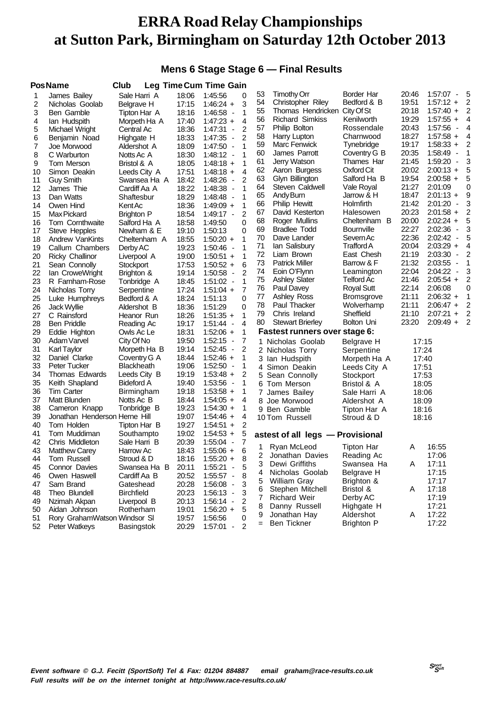### **Mens 6 Stage Stage 6 — Final Results**

|    | <b>PosName</b>                | Club              |       | <b>Leg Time Cum Time Gain</b>       |                |     |                                  |                   |                           |                   |   |
|----|-------------------------------|-------------------|-------|-------------------------------------|----------------|-----|----------------------------------|-------------------|---------------------------|-------------------|---|
| 1  | James Bailey                  | Sale Harri A      | 18:06 | 1:45:56                             | 0              | 53  | <b>Timothy Orr</b>               | Border Har        | 20:46                     | 1:57:07 -         | 5 |
| 2  | Nicholas Goolab               | Belgrave H        | 17:15 | $1:46:24 +$                         | 3              | 54  | <b>Christopher Riley</b>         | Bedford & B       | 19:51                     | $1:57:12 +$       | 2 |
| 3  | Ben Gamble                    | Tipton Har A      | 18:16 | 1:46:58 -                           | 1              | 55  | Thomas Hendricken City Of St     |                   | 20:18                     | $1:57:40 +$       | 2 |
| 4  | lan Hudspith                  | Morpeth Ha A      | 17:40 | $1:47:23 +$                         | 4              | 56  | <b>Richard Simkiss</b>           | Kenilworth        | 19:29                     | $1:57:55 +$       | 4 |
| 5  | Michael Wright                | Central Ac        | 18:36 | 1:47:31 -                           | 2              | 57  | Philip Bolton                    | Rossendale        | 20:43                     | 1:57:56<br>$\sim$ | 4 |
| 6  | Benjamin Noad                 | Highgate H        | 18:33 | 1:47:35 -                           | 2              | 58  | Harry Lupton                     | Charnwood         | 18:27                     | $1:57:58 +$       | 4 |
| 7  | Joe Morwood                   | Aldershot A       | 18:09 | $1:47:50 -$                         | 1              | 59  | Marc Fenwick                     | Tynebridge        | 19:17                     | $1:58:33 +$       | 2 |
| 8  | C Warburton                   | Notts Ac A        | 18:30 | $1:48:12 -$                         | 1              | 60  | James Parrott                    | Coventry G B      | 20:35                     | $1:58:49 -$       | 1 |
| 9  | Tom Merson                    | Bristol & A       | 18:05 | $1:48:18 +$                         | 1              | 61  | Jerry Watson                     | Thames Har        | 21:45                     | 1:59:20<br>$\sim$ | 3 |
| 10 | Simon Deakin                  | Leeds City A      | 17:51 | $1:48:18 +$                         | 4              | 62  | Aaron Burgess                    | Oxford Cit        | 20:02                     | $2:00:13 +$       | 5 |
| 11 | <b>Guy Smith</b>              | Swansea Ha A      | 18:42 | 1:48:26 -                           | 2              | 63  | Glyn Billington                  | Salford Ha B      | 19:54                     | $2:00:58 +$       | 5 |
| 12 | James Thie                    | Cardiff Aa A      | 18:22 | 1:48:38 -                           | 1              | 64  | Steven Caldwell                  | Vale Royal        | 21:27                     | 2:01:09           | 0 |
| 13 | Dan Watts                     | Shaftesbur        | 18:29 | $1:48:48$ -                         | 1              | 65  | Andy Burn                        | Jarrow & H        | 18:47                     | $2:01:13 +$       | 9 |
| 14 | Owen Hind                     | Kent Ac           | 18:36 | $1:49:09 +$                         | 1              | 66  | <b>Philip Hewitt</b>             | Holmfirth         | 21:42                     | $2:01:20 -$       | 3 |
| 15 | Max Pickard                   | <b>Brighton P</b> | 18:54 | $1:49:17 -$                         | 2              | 67  | David Kesterton                  | Halesowen         | 20:23                     | $2:01:58 +$       | 2 |
| 16 | Tom Cornthwaite               | Salford Ha A      | 18:58 | 1:49:50                             | 0              | 68  | Roger Mullins                    | Cheltenham B      | 20:00                     | $2:02:24 +$       | 5 |
| 17 | Steve Hepples                 | Newham & E        | 19:10 | 1:50:13                             | 0              | 69  | <b>Bradlee Todd</b>              | <b>Bournville</b> | 22:27                     | 2:02:36<br>$\sim$ | 3 |
| 18 | Andrew VanKints               | Cheltenham A      | 18:55 | $1:50:20 +$                         | 1              | 70  | Dave Lander                      | Severn Ac         | 22:36                     | $2:02:42 -$       | 5 |
| 19 | Callum Chambers               | Derby AC          | 19:23 | $1:50:46 -$                         | 1              | 71  | lan Salisbury                    | TraffordA         | 20:04                     | $2:03:29 +$       | 4 |
| 20 | <b>Ricky Challinor</b>        | Liverpool A       | 19:00 | $1:50:51 +$                         | 1              | 72  | Liam Brown                       | East Chesh        | 21:19                     | 2:03:30<br>$\sim$ | 2 |
| 21 | Sean Connolly                 | Stockport         | 17:53 | $1:50:52 +$                         | 6              | 73  | <b>Patrick Miller</b>            | Barrow & F        | 21:32                     | 2:03:55<br>$\sim$ | 1 |
| 22 | lan CroweWright               | Brighton &        | 19:14 | 1:50:58<br>$\overline{\phantom{a}}$ | 2              | 74  | Eoin O'Flynn                     | Leamington        | 22:04                     | $2:04:22 -$       | 3 |
| 23 | R Farnham-Rose                | Tonbridge A       | 18:45 | $1:51:02 -$                         | 1              | 75  | <b>Ashley Slater</b>             | <b>Telford Ac</b> | 21:46                     | $2:05:54 +$       | 2 |
| 24 | Nicholas Torry                | Serpentine        | 17:24 | $1:51:04 +$                         | 7              | 76  | Paul Davey                       | <b>Royal Sutt</b> | 22:14                     | 2:06:08           | 0 |
| 25 | Luke Humphreys                | Bedford & A       | 18:24 | 1:51:13                             | $\Omega$       | 77  | <b>Ashley Ross</b>               | <b>Bromsgrove</b> | 21:11                     | $2:06:32 +$       | 1 |
| 26 | Jack Wyllie                   | Aldershot B       | 18:36 | 1:51:29                             | 0              | 78  | Paul Thacker                     | Wolverhamp        | 21:11                     | $2:06:47 +$       | 2 |
| 27 | C Rainsford                   | Heanor Run        | 18:26 | $1:51:35 +$                         | 1              | 79  | Chris Ireland                    | Sheffield         | 21:10                     | $2:07:21 +$       | 2 |
| 28 | <b>Ben Priddle</b>            | Reading Ac        | 19:17 | 1:51:44<br>$\overline{\phantom{a}}$ | 4              | 80  | <b>Stewart Brierley</b>          | Bolton Uni        | 23:20                     | $2:09:49 +$       | 2 |
| 29 | Eddie Highton                 | Owls Ac Le        | 18:31 | $1:52:06 +$                         | 1              |     | Fastest runners over stage 6:    |                   |                           |                   |   |
| 30 | Adam Varvel                   | City Of No        | 19:50 | $1:52:15 -$                         | 7              |     | 1 Nicholas Goolab                | Belgrave H        | 17:15                     |                   |   |
| 31 | <b>Karl Taylor</b>            | Morpeth Ha B      | 19:14 | $1:52:45 -$                         | 2              |     | 2 Nicholas Torry                 | Serpentine        | 17:24                     |                   |   |
| 32 | Daniel Clarke                 | Coventry G A      | 18:44 | $1:52:46 +$                         | 1              |     | 3 Ian Hudspith                   | Morpeth Ha A      | 17:40                     |                   |   |
| 33 | <b>Peter Tucker</b>           | <b>Blackheath</b> | 19:06 | $1:52:50 -$                         | 1              |     | 4 Simon Deakin                   | Leeds City A      | 17:51                     |                   |   |
| 34 | Thomas Edwards                | Leeds City B      | 19:19 | $1:53:48 +$                         | 2              |     | 5 Sean Connolly                  | Stockport         | 17:53                     |                   |   |
| 35 | Keith Shapland                | <b>Bideford A</b> | 19:40 | 1:53:56 -                           | 1              |     | 6 Tom Merson                     | Bristol & A       | 18:05                     |                   |   |
| 36 | <b>Tim Carter</b>             | Birmingham        | 19:18 | $1:53:58 +$                         | 1              |     | 7 James Bailey                   | Sale Harri A      | 18:06                     |                   |   |
| 37 | Matt Blunden                  | Notts Ac B        | 18:44 | $1:54:05 +$                         | 4              |     | 8 Joe Morwood                    | Aldershot A       | 18:09                     |                   |   |
| 38 | Cameron Knapp                 | Tonbridge B       | 19:23 | $1:54:30 +$                         | 1              |     | 9 Ben Gamble                     | Tipton Har A      | 18:16                     |                   |   |
| 39 | Jonathan Henderson Herne Hill |                   | 19:07 | $1:54:46 +$                         | 4              |     | 10 Tom Russell                   | Stroud & D        | 18:16                     |                   |   |
| 40 | Tom Holden                    | Tipton Har B      | 19:27 | $1:54:51 +$                         | 2              |     |                                  |                   |                           |                   |   |
| 41 | Tom Muddiman                  | Southampto        | 19:02 | $1:54:53 +$                         | 5              |     | astest of all legs - Provisional |                   |                           |                   |   |
| 42 | Chris Middleton               | Sale Harri B      | 20:39 | $1:55:04 -$                         | 7              | 1   | Ryan McLeod                      | <b>Tipton Har</b> | A                         | 16:55             |   |
| 43 | <b>Matthew Carey</b>          | Harrow Ac         | 18:43 | $1:55:06 +$                         | 6              | 2   | Jonathan Davies                  | Reading Ac        |                           | 17:06             |   |
| 44 | Tom Russell                   | Stroud & D        | 18:16 | $1:55:20 +$                         |                | 3   | Dewi Griffiths                   | Swansea Ha        | $\boldsymbol{\mathsf{A}}$ | 17:11             |   |
| 45 | Connor Davies                 | Swansea Ha B      | 20:11 | 1:55:21<br>$\sim$                   | 5              | 4   | Nicholas Goolab                  | Belgrave H        |                           | 17:15             |   |
| 46 | Owen Haswell                  | Cardiff Aa B      | 20:52 | $1:55:57 -$                         | 8              | 5   | William Gray                     | Brighton &        |                           | 17:17             |   |
| 47 | Sam Brand                     | Gateshead         | 20:28 | $1:56:08 -$                         | 3              | 6   | Stephen Mitchell                 | Bristol &         | A                         | 17:18             |   |
| 48 | Theo Blundell                 | <b>Birchfield</b> | 20:23 | 1:56:13 -                           | 3              | 7   | <b>Richard Weir</b>              | Derby AC          |                           | 17:19             |   |
| 49 | Nzimah Akpan                  | Liverpool B       | 20:13 | $1:56:14 -$                         | $\overline{2}$ | 8   | Danny Russell                    | Highgate H        |                           | 17:21             |   |
| 50 | Aidan Johnson                 | Rotherham         | 19:01 | $1:56:20 +$                         | 5              | 9   | Jonathan Hay                     | Aldershot         | A                         | 17:22             |   |
| 51 | Rory GrahamWatson Windsor SI  |                   | 19:57 | 1:56:56                             | 0              | $=$ | <b>Ben Tickner</b>               | <b>Brighton P</b> |                           | 17:22             |   |
| 52 | Peter Watkeys                 | Basingstok        | 20:29 | $1:57:01 -$                         | $\overline{2}$ |     |                                  |                   |                           |                   |   |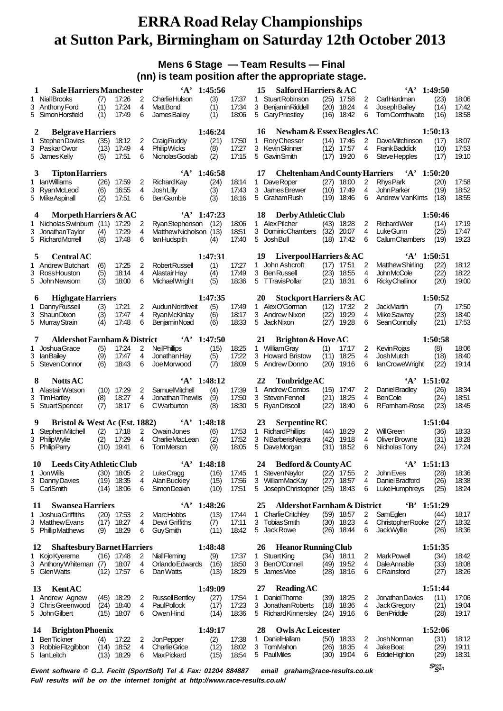### **Mens 6 Stage — Team Results — Final (nn) is team position after the appropriate stage.**

|    | <b>Sale Harriers Manchester</b><br>1         |      |                       |                | $'A'$ 1:45:56                                                                                    |             |                | 15 | Salford Harriers & AC                   |      |                              |                | $'A'$ 1:49:50                          |                                |                |
|----|----------------------------------------------|------|-----------------------|----------------|--------------------------------------------------------------------------------------------------|-------------|----------------|----|-----------------------------------------|------|------------------------------|----------------|----------------------------------------|--------------------------------|----------------|
|    | 1 Niall Brooks                               | (7)  | 17:26                 | 2              | <b>Charlie Hulson</b>                                                                            | (3)         | 17:37          |    | 1 Stuart Robinson                       |      | $(25)$ 17:58                 | 2              | CarlHardman                            | (23)                           | 18:06          |
|    | 3 Anthony Ford                               | (1)  | 17:24                 | 4              | <b>MattBond</b>                                                                                  | (1)         | 17:34          |    | 3 Benjamin Riddell                      | (20) | 18:24                        | 4              | Joseph Bailey                          | (14)                           | 17:42          |
| 5. | SimonHorsfield                               | (1)  | 17:49                 | 6              | <b>JamesBailey</b>                                                                               | (1)         | 18:06          | 5  | <b>Gary Priestley</b>                   | (16) | 18:42                        | 6              | <b>TomCornthwaite</b>                  | (16)                           | 18:58          |
|    | <b>Belgrave Harriers</b><br>2                |      |                       |                |                                                                                                  | 1:46:24     |                | 16 | Newham & Essex Beagles AC               |      |                              |                |                                        | 1:50:13                        |                |
| 1  | <b>StephenDavies</b>                         |      | $(35)$ 18:12          | 2              | Craig Ruddy                                                                                      | (21)        | 17:50          |    | 1 Rory Chesser                          |      | $(14)$ 17:46                 | 2              | DaveMitchinson                         | (17)                           | 18:07          |
|    | 3 PaskarOwor                                 | (13) | 17:49                 | 4              | <b>Philip Wicks</b>                                                                              | (8)         | 17:27          |    | 3 Kevin Skinner                         |      | $(12)$ 17:57                 | 4              | <b>FrankBaddick</b>                    | (10)                           | 17:53          |
|    | 5 JamesKelly                                 | (5)  | 17:51                 | 6              | Nicholas Goolab                                                                                  | (2)         | 17:15          |    | 5 Gavin Smith                           | (17) | 19:20                        | 6              | <b>SteveHepples</b>                    | (17)                           | 19:10          |
|    |                                              |      |                       |                |                                                                                                  |             |                |    |                                         |      |                              |                |                                        |                                |                |
|    | <b>Tipton Harriers</b><br>3                  |      |                       |                | $\mathbf{A}$ ,                                                                                   | 1:46:58     |                | 17 | <b>Cheltenham And County Harriers</b>   |      |                              |                | $\mathbf{A}$                           | 1:50:20                        |                |
| 1  | <b>lanWilliams</b>                           | (26) | 17:59                 | 2              | <b>Richard Kay</b>                                                                               | (24)        | 18:14          |    | 1 DaveRoper                             | (27) | 18:00                        | 2              | <b>RhysPark</b>                        | (20)                           | 17:58          |
|    | 3 RyanMcLeod                                 | (6)  | 16:55                 | $\overline{4}$ | <b>Josh Lilly</b>                                                                                | (3)         | 17:43          |    | 3 James Brewer                          | (10) | 17:49                        | 4              | John Parker                            | (19)                           | 18:52          |
|    | 5 Mike Aspinall                              | (2)  | 17:51                 | 6              | <b>BenGamble</b>                                                                                 | (3)         | 18:16          |    | 5 Graham Rush                           | (19) | 18:46                        | 6              | <b>Andrew VanKints</b>                 | (18)                           | 18:55          |
|    | Morpeth Harriers & AC<br>4                   |      |                       |                | $'A'$ 1:47:23                                                                                    |             |                | 18 | Derby Athletic Club                     |      |                              |                |                                        | 1:50:46                        |                |
|    | 1 Nicholas Swinburn (11)                     |      | 17:29                 | 2              | Ryan Stephenson                                                                                  | (12)        | 18:06          |    | 1 Alex Pilcher                          | (43) | 18:28                        | 2              | <b>RichardWeir</b>                     | (14)                           | 17:19          |
| 3  | Jonathan Taylor                              | (4)  | 17:29                 | 4              | Matthew Nicholson (13)                                                                           |             | 18:51          |    | 3 DominicChambers                       | (32) | 20:07                        | 4              | LukeGunn                               | (25)                           | 17:47          |
|    | 5 RichardMorrell                             | (8)  | 17:48                 | 6              | lan Hudspith                                                                                     | (4)         | 17:40          |    | 5 Josh Bull                             | (18) | 17:42                        | 6              | <b>CallumChambers</b>                  | (19)                           | 19:23          |
|    |                                              |      |                       |                |                                                                                                  |             |                |    |                                         |      |                              |                |                                        |                                |                |
|    | <b>Central AC</b><br>5                       |      |                       |                |                                                                                                  | 1:47:31     |                | 19 | Liverpool Harriers & AC                 |      |                              |                | $\cdot_A$                              | 1:50:51                        |                |
|    | 1 Andrew Butchart                            | (6)  | 17:25                 | 2              | Robert Russell                                                                                   | (1)         | 17:27          |    | 1 John Ashcroft                         |      | $(17)$ 17:51                 | 2              | <b>Matthew Shirling</b>                | (22)                           | 18:12          |
| 3  | Ross Houston                                 | (5)  | 18:14                 | 4              | Alastair Hay                                                                                     | (4)         | 17:49          | 3  | <b>Ben Russell</b>                      | (23) | 18:55                        | 4              | <b>JohnMcCole</b>                      | (22)                           | 18:22          |
|    | 5 John Newsom                                | (3)  | 18:00                 | 6              | MichaelWright                                                                                    | (5)         | 18:36          |    | 5 TTravisPollar                         | (21) | 18:31                        | 6              | <b>Ricky Challinor</b>                 | (20)                           | 19:00          |
|    | <b>Highgate Harriers</b><br>6                |      |                       |                |                                                                                                  | 1:47:35     |                | 20 | Stockport Harriers & AC                 |      |                              |                |                                        | 1:50:52                        |                |
|    | 1 Danny Russell                              | (3)  | 17:21                 | $\overline{2}$ | Audun Nordtveit                                                                                  | (5)         | 17:49          |    | 1 AlexO'Gorman                          |      | $(12)$ 17:32                 | 2              | <b>JackMartin</b>                      | (7)                            | 17:50          |
|    | 3 ShaunDixon                                 | (3)  | 17:47                 | 4              | <b>RyanMcKinlay</b>                                                                              | (6)         | 18:17          |    | 3 Andrew Nixon                          | (22) | 19:29                        | 4              | Mike Sawrey                            | (23)                           | 18:40          |
|    | 5 Murray Strain                              | (4)  | 17:48                 | 6              | <b>BenjaminNoad</b>                                                                              | (6)         | 18:33          | 5  | <b>JackNixon</b>                        | (27) | 19:28                        | 6              | Sean Connolly                          | (21)                           | 17:53          |
|    |                                              |      |                       |                |                                                                                                  |             |                |    |                                         |      |                              |                |                                        |                                |                |
|    | <b>Aldershot Farnham &amp; District</b><br>7 |      |                       |                | $A'$ 1:47:50                                                                                     |             |                | 21 | Brighton & Hove AC                      |      |                              |                |                                        | 1:50:58                        |                |
| 1. | Joshua Grace                                 | (5)  | 17:24                 | 2              | <b>Neil Phillips</b>                                                                             | (15)        | 18:25          |    | 1 William Gray                          | (1)  | 17:17                        | 2              | <b>Kevin Rojas</b>                     | (8)                            | 18:06          |
|    | 3 IanBailey                                  | (9)  | 17:47                 | 4              | Jonathan Hay                                                                                     | (5)         | 17:22          |    | 3 Howard Bristow                        | (11) | 18:25                        | 4              | Josh Mutch                             | (18)                           | 18:40          |
|    | 5 StevenConnor                               | (6)  | 18:43                 | 6              | Joe Morwood                                                                                      | (7)         | 18:09          |    | 5 Andrew Donno                          | (20) | 19:16                        | 6              | lan Crowe Wright                       | (22)                           | 19:14          |
|    | 8<br><b>Notts AC</b>                         |      |                       |                | $'A'$ 1:48:12                                                                                    |             |                | 22 | TonbridgeAC                             |      |                              |                | $'A'$ 1:51:02                          |                                |                |
|    | 1 Alastair Watson                            |      | $(10)$ 17:29          | 2              | SamuelMitchell                                                                                   | (4)         | 17:39          |    | 1 Andrew Combs                          | (15) | 17:47                        | 2              | Daniel Bradley                         | (26)                           | 18:34          |
|    | 3 TimHartley                                 | (8)  | 18:27                 | 4              | Jonathan Thewlis                                                                                 | (9)         | 17:50          |    | 3 Steven Fennell                        | (21) | 18:25                        | 4              | <b>BenCole</b>                         | (24)                           | 18:51          |
|    | 5 Stuart Spencer                             | (7)  | 18:17                 | 6              | CWarburton                                                                                       | (8)         | 18:30          |    | 5 Ryan Driscoll                         | (22) | 18:40                        | 6              | RFamham-Rose                           | (23)                           | 18:45          |
|    |                                              |      |                       |                |                                                                                                  |             |                |    |                                         |      |                              |                |                                        |                                |                |
|    | Bristol & West Ac (Est. 1882)<br>9           |      |                       |                | $'A'$ 1:48:18                                                                                    |             |                | 23 | Serpentine RC                           |      |                              |                |                                        | 1:51:04                        |                |
|    | 1 Stephen Mitchell                           | (2)  | 17:18                 | 2              | Owain Jones                                                                                      | (6)         | 17:53          |    | 1 Richard Phillips                      | (44) | 18:29                        | 2              | <b>WillGreen</b>                       | (36)                           | 18:33          |
|    | 3 PhilipWylie                                | (2)  | 17:29                 | 4              | <b>CharlieMacLean</b>                                                                            | (2)         | 17:52          | 3  | NBarberisNegra                          | (42) | 19:18                        | 4              | Oliver Browne                          | (31)                           | 18:28          |
|    | 5 Philip Parry                               |      | $(10)$ 19:41          | 6              | <b>TomMerson</b>                                                                                 | (9)         | 18:05          |    | 5 DaveMorgan                            | (31) | 18:52                        | 6              | Nicholas Torry                         | (24)                           | 17:24          |
|    | 10 Leeds City Athletic Club                  |      |                       |                | $'A'$ 1:48:18                                                                                    |             |                |    | 24 Bedford & County AC                  |      |                              |                | $'A'$ 1:51:13                          |                                |                |
| 1. | JonWills                                     |      | $(30)$ 18:05          | $\overline{a}$ | LukeCragg                                                                                        | (16)        | 17:45          |    | 1 Steven Naylor                         |      | $(22)$ 17:55                 | 2              | John Eves                              | (28)                           | 18:36          |
| 3  | Danny Davies                                 |      | $(19)$ 18:35          | 4              | Alan Buckley                                                                                     | (15)        | 17:56          |    | 3 WilliamMacKay                         | (27) | 18:57                        | 4              | Daniel Bradford                        | (26)                           | 18:38          |
|    | 5 CarlSmith                                  |      | $(14)$ 18:06          | 6              | <b>SimonDeakin</b>                                                                               | (10)        | 17:51          |    | 5 Joseph Christopher (25)               |      | 18:43                        | 6              | <b>LukeHumphreys</b>                   | (25)                           | 18:24          |
|    |                                              |      |                       |                |                                                                                                  |             |                |    |                                         |      |                              |                |                                        |                                |                |
|    | 11<br><b>Swansea Harriers</b>                |      |                       |                | $\mathbf{A}$                                                                                     | 1:48:26     |                | 25 | <b>Aldershot Farnham &amp; District</b> |      |                              |                | $\mathbf{B}^*$                         | 1:51:29                        |                |
|    | 1 Joshua Griffiths                           |      | $(20)$ 17:53          | 2              | <b>MarcHobbs</b>                                                                                 | (13)        | 17:44          |    | 1 Charlie Critchley                     |      | $(59)$ 18:57                 | 2              | SamEglen                               | (44)                           | 18:17          |
|    | 3 Matthew Evans<br>5 PhillipMatthews         |      | $(17)$ 18:27<br>18:29 | 4<br>6         | Dewi Griffiths<br><b>GuySmith</b>                                                                | (7)<br>(11) | 17:11<br>18:42 |    | 3 Tobias Smith<br>5 Jack Rowe           |      | $(30)$ 18:23<br>$(26)$ 18:44 | 4<br>6         | Christopher Rooke<br><b>JackWyllie</b> | (27)                           | 18:32<br>18:36 |
|    |                                              | (9)  |                       |                |                                                                                                  |             |                |    |                                         |      |                              |                |                                        | (26)                           |                |
|    | <b>Shaftesbury Barnet Harriers</b><br>12     |      |                       |                |                                                                                                  | 1:48:48     |                | 26 | <b>Heanor Running Club</b>              |      |                              |                |                                        | 1:51:35                        |                |
|    | 1 Kojo Kyereme                               |      | $(16)$ 17:48          | $\overline{2}$ | NiallFleming                                                                                     | (9)         | 17:37          |    | 1 StuartKing                            |      | $(34)$ 18:11                 | 2              | <b>MarkPowell</b>                      | (34)                           | 18:42          |
|    | 3 Anthony Whiteman (7)                       |      | 18:07                 | 4              | Orlando Edwards                                                                                  | (16)        | 18:50          |    | 3 BenO'Connell                          |      | $(49)$ 19:52                 | 4              | Dale Annable                           | (33)                           | 18:08          |
|    | 5 GlenWatts                                  |      | $(12)$ 17:57          | 6              | Dan Watts                                                                                        | (13)        | 18:29          |    | 5 JamesMee                              |      | (28) 18:16                   | 6              | CRainsford                             | (27)                           | 18:26          |
|    |                                              |      |                       |                |                                                                                                  |             |                |    |                                         |      |                              |                |                                        |                                |                |
|    | KentAC<br>13                                 |      |                       |                |                                                                                                  | 1:49:09     |                | 27 | <b>Reading AC</b>                       |      |                              |                |                                        | 1:51:44                        |                |
|    | 1 Andrew Agnew                               |      | $(45)$ 18:29          | 2              | <b>RussellBentley</b>                                                                            | (27)        | 17:54          |    | 1 DanielThorne                          |      | $(39)$ 18:25                 | 2              | Jonathan Davies                        | (11)                           | 17:06          |
|    | 3 ChrisGreenwood                             |      | $(24)$ 18:40          | 4              | <b>PaulPollock</b>                                                                               | (17)        | 17:23          |    | 3 Jonathan Roberts                      |      | $(18)$ 18:36                 | $\overline{4}$ | Jack Gregory                           | (21)                           | 19:04          |
|    | 5 John Gilbert                               |      | $(15)$ 18:07          | 6              | Owen Hind                                                                                        | (14)        | 18:36          |    | 5 RichardKinnersley (24)                |      | 19:16                        | 6              | <b>BenPriddle</b>                      | (28)                           | 19:17          |
|    | <b>Brighton Phoenix</b><br>14                |      |                       |                |                                                                                                  | 1:49:17     |                | 28 | <b>Owls Ac Leicester</b>                |      |                              |                |                                        | 1:52:06                        |                |
|    | 1 Ben Tickner                                | (4)  | 17:22                 | 2              | <b>JonPepper</b>                                                                                 | (2)         | 17:38          |    | 1 DanielHallam                          |      | $(50)$ 18:33                 | 2              | <b>JoshNorman</b>                      | (31)                           | 18:12          |
|    | 3 Robbie Fitzgibbon                          |      | $(14)$ 18:52          | 4              | <b>Charlie Grice</b>                                                                             | (12)        | 18:02          |    | 3 TomMahon                              |      | $(26)$ 18:35                 | 4              | <b>JakeBoat</b>                        | (29)                           | 19:11          |
|    | 5 IanLeitch                                  |      | $(13)$ 18:29          | 6              | <b>MaxPickard</b>                                                                                | (15)        | 18:54          |    | 5 PaulMiles                             |      | $(30)$ 19:04                 | 6              | <b>EddieHighton</b>                    | (29)                           | 18:31          |
|    |                                              |      |                       |                | Event software © G J Fecitt (SportSoft) Tel & Fax: 01204 884887 - email graham@race-results couk |             |                |    |                                         |      |                              |                |                                        | $S_{\mathcal{S}^{opt}}^{port}$ |                |
|    |                                              |      |                       |                |                                                                                                  |             |                |    |                                         |      |                              |                |                                        |                                |                |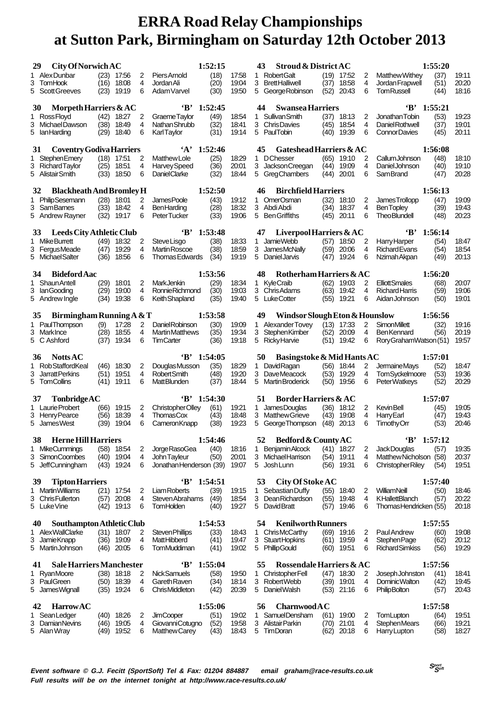| 29<br>1 AlexDunbar<br>3<br>TomHook                  | <b>City Of Norwich AC</b><br>(23)<br>(16) | 17:56<br>18:08             | 2<br>4         | Piers Arnold<br>Jordan Ali                   | 1:52:15<br>(18)<br>(20) | 17:58<br>19:04 | <b>Stroud &amp; District AC</b><br>43<br>Robert Galt<br>1<br>3<br><b>BrettHalliwell</b> | (19)<br>17:52<br>(37)<br>18:58 | 2<br>4 | <b>Matthew Withev</b><br>Jordan Frapwell           | 1:55:20<br>(37)<br>(51) | 19:11<br>20:20 |
|-----------------------------------------------------|-------------------------------------------|----------------------------|----------------|----------------------------------------------|-------------------------|----------------|-----------------------------------------------------------------------------------------|--------------------------------|--------|----------------------------------------------------|-------------------------|----------------|
| 5 Scott Greeves                                     | (23)                                      | 19:19                      | 6              | Adam Varvel                                  | (30)                    | 19:50          | 5 George Robinson                                                                       | (52)<br>20:43                  | 6      | <b>TomRussell</b>                                  | (44)                    | 18:16          |
| Morpeth Harriers $&AC$<br>30<br>1 Ross Floyd        | (42)                                      | 18:27                      | 2              | $\mathbf{B}$<br><b>GraemeTaylor</b>          | 1:52:45<br>(49)         | 18:54          | <b>Swansea Harriers</b><br>44<br><b>Sullivan Smith</b><br>1.                            | (37)<br>18:13                  | 2      | $B'$ 1:55:21<br>Jonathan Tobin                     | (53)                    | 19:23          |
| Michael Dawson<br>3                                 | (38)                                      | 18:49                      | 4              | Nathan Shrubb                                | (32)                    | 18:41          | 3<br><b>ChrisDavies</b>                                                                 | (45)<br>18:54                  | 4      | Daniel Rothwell                                    | (37)                    | 19:01          |
| 5 Ian Harding                                       | (29)                                      | 18:40                      | 6              | KarlTaylor                                   | (31)                    | 19:14          | 5 PaulTobin                                                                             | (40)<br>19:39                  | 6      | <b>ConnorDavies</b>                                | (45)                    | 20:11          |
| <b>Coventry Godiva Harriers</b><br>31               |                                           |                            |                | $\mathbf{A}$                                 | 1:52:46                 |                | <b>Gateshead Harriers &amp; AC</b><br>45                                                |                                |        |                                                    | 1:56:08                 |                |
| <b>Stephen Emerv</b><br>1<br>3 Richard Tavlor       | (25)                                      | $(18)$ 17:51<br>18:51      | 2<br>4         | <b>Matthew Lole</b><br>Harvey Speed          | (25)<br>(36)            | 18:29<br>20:01 | <b>DChesser</b><br>1<br>3<br>Jackson Creegan                                            | (65)<br>19:10<br>(44)<br>19:09 | 2<br>4 | CallumJohnson<br>Daniel Johnson                    | (48)<br>(40)            | 18:10<br>19:10 |
| 5 Alistair Smith                                    | (33)                                      | 18:50                      | 6              | <b>DanielClarke</b>                          | (32)                    | 18:44          | 5<br>GregChambers                                                                       | 20:01<br>(44)                  | 6      | SamBrand                                           | (47)                    | 20:28          |
| <b>Blackheath And Bromley H</b><br>32               |                                           |                            |                |                                              | 1:52:50                 |                | <b>Birchfield Harriers</b><br>46                                                        |                                |        |                                                    | 1:56:13                 |                |
| 1 PhilipSesemann                                    | (28)                                      | 18:01                      | $\overline{2}$ | James Poole                                  | (43)                    | 19:12          | <b>OmerOsman</b><br>1                                                                   | (32)<br>18:10                  | 2      | James Trollopp                                     | (47)                    | 19:09          |
| 3 SamBarnes<br>5 Andrew Rayner                      | (33)<br>(32)                              | 18:42<br>19:17             | 4<br>6         | <b>BenHarding</b><br>PeterTucker             | (28)<br>(33)            | 18:32<br>19:06 | 3 Abdi Abdi<br>5<br><b>Ben Griffiths</b>                                                | (34)<br>18:37<br>20:11<br>(45) | 4<br>6 | <b>BenTopley</b><br><b>TheoBlundell</b>            | (39)<br>(48)            | 19:43<br>20:23 |
|                                                     |                                           |                            |                |                                              |                         |                |                                                                                         |                                |        |                                                    |                         |                |
| Leeds City Athletic Club<br>33<br>Mike Burrett<br>1 | (49)                                      | 18:32                      | 2              | $\mathbf{B}^*$<br><b>SteveLisgo</b>          | 1:53:48<br>(38)         | 18:33          | Liverpool Harriers & AC<br>47<br><b>JamieWebb</b><br>1                                  | (57)<br>18:50                  | 2      | 'В'<br>Harry Harper                                | 1:56:14<br>(54)         | 18:47          |
| 3 FergusMeade                                       | (47)                                      | 19:29                      | 4              | Martin Roscoe                                | (38)                    | 18:59          | 3<br><b>JamesMcNally</b>                                                                | (59)<br>20:06                  | 4      | <b>Richard Evans</b>                               | (54)                    | 18:54          |
| 5 Michael Salter                                    | (36)                                      | 18:56                      | 6              | Thomas Edwards                               | (34)                    | 19:19          | 5 Daniel Jarvis                                                                         | (47)<br>19:24                  | 6      | Nzimah Akpan                                       | (49)                    | 20:13          |
| <b>Bideford Aac</b><br>34                           |                                           |                            |                |                                              | 1:53:56                 |                | 48<br>Rotherham Harriers & AC                                                           |                                |        |                                                    | 1:56:20                 |                |
| 1 Shaun Antell                                      | (29)                                      | 18:01                      | 2              | <b>MarkJenkin</b>                            | (29)                    | 18:34          | 1 KyleCraib                                                                             | (62)<br>19:03                  | 2      | <b>ElliottSmales</b>                               | (68)                    | 20:07          |
| 3 Ian Gooding<br>5 Andrew Ingle                     | (29)<br>(34)                              | 19:00<br>19:38             | 4<br>6         | <b>RonnieRichmond</b><br>Keith Shapland      | (30)<br>(35)            | 19:03<br>19:40 | 3 Chris Adams<br>5 Luke Cotter                                                          | (63)<br>19:42<br>$(55)$ 19:21  | 4<br>6 | <b>Richard Harris</b><br>Aidan Johnson             | (59)<br>(50)            | 19:06<br>19:01 |
|                                                     |                                           |                            |                |                                              |                         |                |                                                                                         |                                |        |                                                    |                         |                |
| Birmingham Running $A & T$<br>35                    |                                           |                            |                |                                              | 1:53:58                 |                | Windsor Slough Eton & Hounslow<br>49                                                    |                                |        |                                                    | 1:56:56                 |                |
| 1 PaulThompson<br>3 MarkInce                        | (9)<br>(28)                               | 17:28<br>18:55             | 2<br>4         | Daniel Robinson<br><b>Martin Matthews</b>    | (30)<br>(35)            | 19:09<br>19:34 | <b>Alexander Tovey</b><br>1<br>3<br><b>StephenKimber</b>                                | $(13)$ 17:33<br>(52)<br>20:09  | 2<br>4 | <b>SimonMillett</b><br><b>BenKennard</b>           | (32)<br>(56)            | 19:16<br>20:19 |
| 5 C Ashford                                         | (37)                                      | 19:34                      | 6              | <b>TimCarter</b>                             | (36)                    | 19:18          | 5<br><b>Ricky Harvie</b>                                                                | (51)<br>19:42                  | 6      | RoryGrahamWatson (51)                              |                         | 19:57          |
|                                                     |                                           |                            |                |                                              |                         |                |                                                                                         |                                |        |                                                    |                         |                |
| <b>Notts AC</b><br>36                               |                                           |                            |                | $B'$ 1:54:05                                 |                         |                | Basingstoke & Mid Hants AC<br>50                                                        |                                |        |                                                    | 1:57:01                 |                |
| 1 Rob Stafford Keal                                 | (46)                                      | 18:30                      | 2              | Douglas Musson                               | (35)                    | 18:29          | DavidRagan<br>1                                                                         | (56)<br>18:44                  | 2      | <b>JermaineMays</b>                                | (52)                    | 18:47          |
| 3 JarrattPerkins<br>5 TomCollins                    | (51)<br>(41)                              | 19:51<br>19:11             | 4<br>6         | <b>Robert Smith</b><br><b>MattBlunden</b>    | (48)<br>(37)            | 19:20<br>18:44 | 3<br><b>DaveMeacock</b><br>5<br>Martin Broderick                                        | (53)<br>19:29<br>19:56<br>(50) | 4<br>6 | <b>TomSyckelmoore</b><br><b>PeterWatkeys</b>       | (53)<br>(52)            | 19:36<br>20:29 |
|                                                     |                                           |                            |                |                                              |                         |                |                                                                                         |                                |        |                                                    |                         |                |
| TonbridgeAC<br>37<br>1 Laurie Probert               | (66)                                      | 19:15                      | 2              | $B'$ 1:54:30<br>Christopher Olley            | (61)                    | 19:21          | <b>Border Harriers &amp; AC</b><br>51<br><b>JamesDouglas</b><br>1                       | (36)<br>18:12                  | 2      | <b>Kevin Bell</b>                                  | 1:57:07<br>(45)         | 19:05          |
| 3 Henry Pearce                                      | (56)                                      | 18:39                      | 4              | <b>ThomasCox</b>                             | (43)                    | 18:48          | 3 Matthew Grieve                                                                        | (43)<br>19:08                  | 4      | <b>Harry Earl</b>                                  | (47)                    | 19:43          |
| 5 James West                                        | (39)                                      | 19:04                      | 6              | CameronKnapp                                 | (38)                    | 19:23          | 5<br>George Thompson                                                                    | (48)<br>20:13                  | 6      | TimothyOrr                                         | (53)                    | 20:46          |
| <b>Herne Hill Harriers</b><br>58                    |                                           |                            |                |                                              | 1:54:46                 |                | Bedford & County AC<br>52                                                               |                                |        | 'В'                                                | 1:57:12                 |                |
| MikeCummings<br>1                                   | (58)                                      | 18:54                      | 2              | Jorge RasoGea                                | (40)                    | 18:16          | <b>Benjamin Alcock</b><br>1                                                             | $(41)$ 18:27                   | 2      | Jack Douglas                                       | (57)                    | 19:35          |
| <b>SimonCoombes</b><br>3<br>5 JeffCunningham        | (40)<br>(43)                              | 19:04<br>19:24             | 4<br>6         | John Tayleur<br>JonathanHenderson (39)       | (50)                    | 20:01<br>19:07 | 3 MichaelHarrison<br>5 Josh Lunn                                                        | $(54)$ 19:11<br>(56)<br>19:31  | 4<br>6 | Matthew Nicholson (58)<br><b>Christopher Riley</b> | (54)                    | 20:37<br>19:51 |
| <b>Tipton Harriers</b><br>39                        |                                           |                            |                | $\bf ^4B$                                    | 1:54:51                 |                | 53                                                                                      |                                |        |                                                    | 1:57:40                 |                |
| <b>Martin Williams</b>                              | (21)                                      | 17:54                      | 2              | <b>Liam Roberts</b>                          | (39)                    | 19:15          | City Of Stoke AC<br>Sebastian Duffy<br>1                                                | (55)<br>18:40                  | 2      | WilliamNeill                                       | (50)                    | 18:46          |
| <b>ChrisFullerton</b><br>3                          | (57)                                      | 20:08                      | 4              | Steven Abrahams                              | (49)                    | 18:54          | 3<br><b>DeanRichardson</b>                                                              | (55)<br>19:48                  | 4      | <b>KHallettBlanch</b>                              | (57)                    | 20:22          |
| 5 Luke Vine                                         | (42)                                      | 19:13                      | 6              | TomHolden                                    | (40)                    | 19:27          | 5 David Bratt                                                                           | (57) 19:46                     | 6      | ThomasHendricken (55)                              |                         | 20:18          |
| Southampton Athletic Club<br>40                     |                                           |                            |                |                                              | 1:54:53                 |                | 54<br><b>Kenilworth Runners</b>                                                         |                                |        |                                                    | 1:57:55                 |                |
| Alex WallClarke<br>JamieKnapp<br>3                  |                                           | $(31)$ 18:07<br>(36) 19:09 | 2<br>4         | Steven Phillips<br>MattHibberd               | (33)<br>(41)            | 18:43<br>19:47 | 1 ChrisMcCarthy<br>3 Stuart Hopkins                                                     | (69)<br>19:16<br>(61) 19:59    | 2<br>4 | <b>Paul Andrew</b><br>Stephen Page                 | (60)<br>(62)            | 19:08<br>20:12 |
| 5 MartinJohnson                                     | (46)                                      | 20:05                      | 6              | TomMuddiman                                  | (41)                    | 19:02          | 5 PhillipGould                                                                          | $(60)$ 19:51                   | 6      | <b>RichardSimkiss</b>                              | (56)                    | 19:29          |
| Sale Harriers Manchester<br>41                      |                                           |                            |                | $\cdot$ B                                    | 1:55:04                 |                | <b>Rossendale Harriers &amp; AC</b><br>55                                               |                                |        |                                                    | 1:57:56                 |                |
| RyanMoore                                           |                                           | $(38)$ 18:18               | 2              | <b>NickSamuels</b>                           | (58)                    | 19:50          | <b>ChristopherFell</b><br>1                                                             | $(47)$ 18:30                   | 2      | Joseph Johnston                                    | (41)                    | 18:41          |
| 3 PaulGreen<br>James Wignall<br>5                   | (50)<br>(35)                              | 18:39<br>19:24             | 4<br>6         | <b>Gareth Raven</b><br><b>ChrisMiddleton</b> | (34)<br>(42)            | 18:14<br>20:39 | 3 Robert Webb<br>5<br><b>DanielWalsh</b>                                                | (39)<br>19:01<br>21:16<br>(53) | 4<br>6 | Dominic Walton<br><b>PhilipBolton</b>              | (42)<br>(57)            | 19:45<br>20:43 |
| <b>HarrowAC</b><br>42                               |                                           |                            |                |                                              |                         |                | 56                                                                                      |                                |        |                                                    |                         |                |
| SeanLedger                                          | (40)                                      | 18:26                      | 2              | <b>JimCooper</b>                             | 1:55:06<br>(51)         | 19:02          | <b>Charnwood A C</b><br>SamuelDensham<br>1                                              | 19:00<br>(61)                  | 2      | TomLupton                                          | 1:57:58<br>(64)         | 19:51          |
| Damian Nevins<br>3<br>5 Alan Wray                   | (46)<br>(49)                              | 19:05<br>19:52             | 4<br>6         | Giovanni Cotugno<br><b>Matthew Carey</b>     | (52)<br>(43)            | 19:58<br>18:43 | Alistair Parkin<br>3<br>TimDoran<br>5                                                   | (70)<br>21:01<br>20:18<br>(62) | 4<br>6 | <b>StephenMears</b><br>Harry Lupton                | (66)<br>(58)            | 19:21<br>18:27 |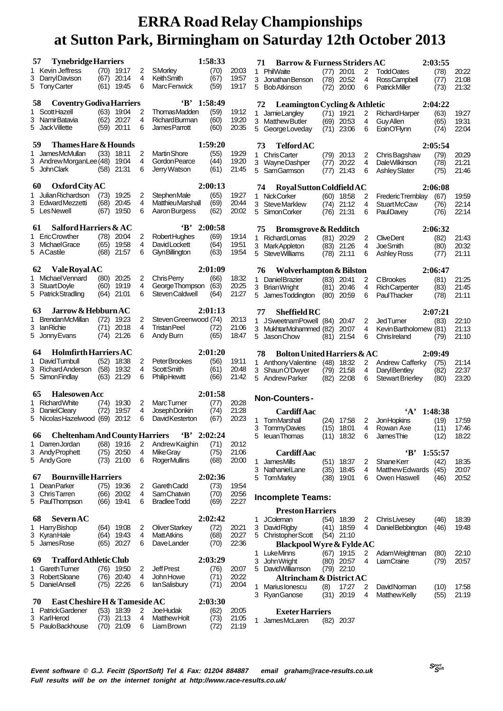| <b>Tynebridge Harriers</b><br>57            |                                |        |                                        | 1:58:33      |                | <b>Barrow &amp; Furness Striders AC</b><br>71      |              |                       |        |                                       | 2:03:55      |                |
|---------------------------------------------|--------------------------------|--------|----------------------------------------|--------------|----------------|----------------------------------------------------|--------------|-----------------------|--------|---------------------------------------|--------------|----------------|
| 1 Kevin Jeffress                            | $(70)$ 19:17                   | 2      | SMorley                                | (70)         | 20:03          | 1 PhilWaite                                        | (77)         | 20:01                 | 2      | <b>ToddOates</b>                      | (78)         | 20:22          |
| 3 DarrylDavison                             | (67)<br>20:14                  | 4      | <b>Keith Smith</b>                     | (67)         | 19:57          | 3 Jonathan Benson                                  | (78)         | 20:52                 | 4      | <b>RossCampbell</b>                   | (77)         | 21:08          |
| 5 Tony Carter                               | 19:45<br>(61)                  | 6      | Marc Fenwick                           | (59)         | 19:17          | 5 Bob Atkinson                                     | (72)         | 20:00                 | 6      | <b>PatrickMiller</b>                  | (73)         | 21:32          |
|                                             |                                |        |                                        |              |                |                                                    |              |                       |        |                                       |              |                |
| <b>Coventry Godiva Harriers</b><br>58       |                                |        | 'B'                                    | 1:58:49      |                | Leamington Cycling & Athletic<br>72                |              |                       |        |                                       | 2:04:22      |                |
| 1 Scott Hazell                              | (63)<br>19:04                  | 2      | <b>ThomasMadden</b>                    | (59)         | 19:12          | 1 JamieLangley                                     | (71)         | 19:21                 | 2      | <b>RichardHarper</b>                  | (63)         | 19:27          |
| 3<br>NamirBatavia                           | (62)<br>20:27                  | 4      | <b>RichardBurman</b>                   | (60)         | 19:20          | 3 Matthew Butler                                   | (69)         | 20:53                 | 4      | Guy Allen                             | (65)         | 19:31          |
| 5 JackVillette                              | $(59)$ 20:11                   | 6      | James Parrott                          | (60)         | 20:35          | 5 George Loveday                                   | (71)         | 23:06                 | 6      | EoinO'Flynn                           | (74)         | 22:04          |
| 59<br><b>Thames Hare &amp; Hounds</b>       |                                |        |                                        | 1:59:20      |                |                                                    |              |                       |        |                                       | 2:05:54      |                |
| 1 JamesMcMullan                             | (33)<br>18:11                  | 2      | <b>Martin Shore</b>                    | (55)         | 19:29          | TelfordAC<br>73<br>1 ChrisCarter                   |              | 20:13                 |        | Chris Bagshaw                         |              | 20:29          |
| 3 Andrew Morgan Lee (48)                    | 19:04                          | 4      | Gordon Pearce                          | (44)         | 19:20          | 3 WayneDashper                                     | (79)<br>(77) | 20:22                 | 2<br>4 | <b>DaleWilkinson</b>                  | (79)<br>(78) | 21:21          |
| 5 John Clark                                | 21:31<br>(58)                  | 6      | Jerry Watson                           | (61)         | 21:45          | 5<br>SamGarmson                                    | (77)         | 21:43                 | 6      | <b>Ashley Slater</b>                  | (75)         | 21:46          |
|                                             |                                |        |                                        |              |                |                                                    |              |                       |        |                                       |              |                |
| <b>Oxford City AC</b><br>60                 |                                |        |                                        | 2:00:13      |                | Royal Sutton Coldfield AC<br>74                    |              |                       |        |                                       | 2:06:08      |                |
| 1 Julian Richardson                         | 19:25<br>(73)                  | 2      | Stephen Male                           | (65)         | 19:27          | 1 NickCorker                                       |              | $(60)$ 18:58          | 2      | Frederic Tremblay                     | (67)         | 19:59          |
| 3 EdwardMezzetti                            | (68)<br>20:45                  | 4      | <b>MatthieuMarshall</b>                | (69)         | 20:44          | 3 Steve Marklew                                    | (74)         | 21:12                 | 4      | <b>StuartMcCaw</b>                    | (76)         | 22:14          |
| 5 LesNewell                                 | 19:50<br>(67)                  | 6      | Aaron Burgess                          | (62)         | 20:02          | 5 SimonCorker                                      |              | $(76)$ 21:31          | 6      | PaulDavey                             | (76)         | 22:14          |
| Salford Harriers & AC                       |                                |        | $\mathbf{B}$                           |              |                |                                                    |              |                       |        |                                       |              |                |
| 61                                          |                                |        |                                        | 2:00:58      |                | <b>Bromsgrove &amp; Redditch</b><br>75             |              |                       |        |                                       | 2:06:32      |                |
| 1 EricCrowther<br>3 MichaelGrace            | $(78)$ 20:04<br>(65)<br>19:58  | 2<br>4 | <b>RobertHughes</b><br>DavidLockett    | (69)<br>(64) | 19:14<br>19:51 | 1 Richard Lomas                                    |              | $(81)$ 20:29          | 2      | <b>CliveDent</b>                      | (82)         | 21:43          |
| 5 A Castile                                 | (68)<br>21:57                  | 6      | <b>Glyn Billington</b>                 | (63)         | 19:54          | 3 MarkAppleton<br>5 Steve Williams                 | (83)         | 21:26<br>$(78)$ 21:11 | 4<br>6 | <b>JoeSmith</b><br><b>Ashley Ross</b> | (80)         | 20:32<br>21:11 |
|                                             |                                |        |                                        |              |                |                                                    |              |                       |        |                                       | (77)         |                |
| Vale Royal AC<br>62                         |                                |        |                                        | 2:01:09      |                | Wolverhampton & Bilston<br>76                      |              |                       |        |                                       | 2:06:47      |                |
| 1 Michael Vennard                           | (80)<br>20:25                  | 2      | Chris Perry                            | (66)         | 18:32          | 1 Daniel Brazier                                   | (83)         | 20:41                 | 2      | <b>C</b> Brookes                      | (81)         | 21:25          |
| 3 Stuart Doyle                              | (60)<br>19:19                  | 4      | George Thompson                        | (63)         | 20:25          | 3 Brian Wright                                     | (81)         | 20:46                 | 4      | <b>Rich Carpenter</b>                 | (83)         | 21:45          |
| 5 Patrick Stradling                         | 21:01<br>(64)                  | 6      | Steven Caldwell                        | (64)         | 21:27          | 5 James Toddington                                 | (80)         | 20:59                 | 6      | <b>PaulThacker</b>                    | (78)         | 21:11          |
|                                             |                                |        |                                        |              |                |                                                    |              |                       |        |                                       |              |                |
| Jarrow & Hebburn AC<br>63                   |                                |        |                                        | 2:01:13      |                | <b>Sheffield RC</b><br>77                          |              |                       |        |                                       | 2:07:21      |                |
| 1 BrendanMcMillan                           | (72)<br>19:23                  | 2      | Steven Greenwood (74)                  |              | 20:13          | 1 JSweetnamPowell (84)                             |              | 20:47                 | 2      | <b>JedTurner</b>                      | (83)         | 22:10          |
| 3 IanRichie                                 | (71)<br>20:18                  | 4      | <b>Tristan Peel</b>                    | (72)         | 21:06          | 3 MukhtarMohammed (82)                             |              | 20:07                 | 4      | Kevin Bartholomew (81)                |              | 21:13          |
| 5 Jonny Evans                               | $(74)$ 21:26                   | 6      | Andy Burn                              | (65)         | 18:47          | 5 Jason Chow                                       | (81)         | 21:54                 | 6      | <b>ChrisIreland</b>                   | (79)         | 21:10          |
|                                             |                                |        |                                        |              |                |                                                    |              |                       |        |                                       |              |                |
|                                             |                                |        |                                        |              |                |                                                    |              |                       |        |                                       |              |                |
| <b>Holmfirth Harriers AC</b><br>64          |                                |        |                                        | 2:01:20      |                | <b>Bolton United Harriers &amp; AC</b><br>78       |              |                       |        |                                       | 2:09:49      |                |
| 1 DavidTumbull                              | (52)<br>18:38                  | 2      | PeterBrookes                           | (56)         | 19:11          | 1 Anthony Valentine                                |              | $(48)$ 18:32          | 2      | Andrew Cafferky                       | (75)         | 21:14          |
| 3 Richard Anderson<br>5 Simon Findlay       | (58)<br>19:32<br>(63)<br>21:29 | 4<br>6 | Scott Smith                            | (61)<br>(66) | 20:48<br>21:42 | 3 ShaunO'Dwyer                                     | (79)         | 21:58                 | 4      | <b>DarylBentley</b>                   | (82)         | 22:37          |
|                                             |                                |        | <b>Philip Hewitt</b>                   |              |                | 5<br>Andrew Parker                                 | (82)         | 22:08                 | 6      | <b>Stewart Brierley</b>               | (80)         | 23:20          |
| <b>Halesowen Acc</b><br>65                  |                                |        |                                        | 2:01:58      |                |                                                    |              |                       |        |                                       |              |                |
| 1 Richard White                             | (74)<br>19:30                  | 2      | <b>MarcTurner</b>                      | (77)         | 20:28          | <b>Non-Counters-</b>                               |              |                       |        |                                       |              |                |
| 3 DanielCleary                              | (72)<br>19:57                  | 4      | Joseph Donkin                          | (74)         | 21:28          | <b>Cardiff</b> Aac                                 |              |                       |        | $\mathbf{A}$                          | 1:48:38      |                |
| 5 Nicolas Hazelwood (69)                    | 20:12                          | 6      | David Kesterton                        | (67)         | 20:23          | <b>TomMarshall</b><br>1                            |              | $(24)$ 17:58          | 2      | <b>Jon Hopkins</b>                    | (19)         | 17:59          |
|                                             |                                |        |                                        |              |                | 3 TommyDavies                                      | (15)         | 18:01                 | 4      | Rowan Axe                             | (11)         | 17:46          |
| <b>Cheltenham And County Harriers</b><br>00 |                                |        | $B'$ 2:02:24                           |              |                | 5<br>leuan Thomas                                  |              | $(11)$ 18:32          | - 6    | <b>JamesThie</b>                      | (12)         | 18:22          |
| Darren Jordan<br>1.                         | $(68)$ 19:16                   | 2      | Andrew Kaighin                         | (71)         | 20:12          |                                                    |              |                       |        |                                       |              |                |
| 3 Andy Prophett                             | 20:50<br>(75)                  | 4      | <b>MikeGray</b>                        | (75)         | 21:06          | <b>Cardiff</b> Aac                                 |              |                       |        | 'В'                                   | 1:55:57      |                |
| 5 Andy Gore                                 | $(73)$ 21:00                   | 6      | <b>RogerMullins</b>                    | (68)         | 20:00          | <b>JamesMills</b><br>1                             |              | $(51)$ 18:37          | 2      | <b>ShaneKerr</b>                      | (42)         | 18:35          |
|                                             |                                |        |                                        |              |                | 3<br>NathanielLane                                 | (35)         | 18:45                 | 4      | Matthew Edwards                       | (45)         | 20:07          |
| <b>Bournville Harriers</b><br>67            |                                |        |                                        | 2:02:36      |                | 5 TomMarley                                        | (38)         | 19:01                 | 6      | Owen Haswell                          | (46)         | 20:52          |
| Dean Parker<br>1.                           | $(75)$ 19:36                   | 2      | <b>GarethCadd</b>                      | (73)         | 19:54          |                                                    |              |                       |        |                                       |              |                |
| 3 ChrisTarren<br>5 PaulThompson             | (66)<br>20:02<br>(66) 19:41    | 4<br>6 | Sam Chatwin<br><b>Bradlee Todd</b>     | (70)<br>(69) | 20:56<br>22:27 | <b>Incomplete Teams:</b>                           |              |                       |        |                                       |              |                |
|                                             |                                |        |                                        |              |                |                                                    |              |                       |        |                                       |              |                |
| <b>Severn AC</b><br>68                      |                                |        |                                        | 2:02:42      |                | <b>Preston Harriers</b><br>1 JColeman              | (54)         | 18:39                 | 2      | <b>Chris Livesey</b>                  | (46)         | 18:39          |
| 1 Harry Bishop                              | (64)<br>19:08                  | 2      | <b>OliverStarkey</b>                   | (72)         | 20:21          | 3 DavidRigby                                       | (41)         | 18:59                 | 4      | Daniel Bebbington                     | (46)         | 19:48          |
| 3 KyranHale                                 | (64)<br>19:43                  | 4      | <b>MattAtkins</b>                      | (68)         | 20:27          | 5 Christopher Scott                                |              | $(54)$ 21:10          |        |                                       |              |                |
| 5 JamesRose                                 | $(65)$ 20:27                   | 6      | DaveLander                             | (70)         | 22:36          | Blackpool Wyre & Fylde AC                          |              |                       |        |                                       |              |                |
|                                             |                                |        |                                        |              |                | 1 LukeMinns                                        |              | $(67)$ 19:15          | 2      | Adam Weightman                        | (80)         | 22:10          |
| <b>Trafford Athletic Club</b><br>69         |                                |        |                                        | 2:03:29      |                | 3<br>John Wright                                   | (80)         | 20:57                 | 4      | LiamCraine                            | (79)         | 20:57          |
| <b>Gareth Turner</b><br>1.                  | (76) 19:50                     | 2      | <b>Jeff Prest</b>                      | (76)         | 20:07          | 5 David Williamson                                 |              | $(79)$ 22:10          |        |                                       |              |                |
| Robert Sloane<br>3                          | $(76)$ 20:40                   | 4      | John Howe                              | (71)         | 20:22          | Altrincham & District AC                           |              |                       |        |                                       |              |                |
| 5 Daniel Ansell                             | $(75)$ 22:26                   | 6      | lan Salisbury                          | (71)         | 20:04          | <b>Marius Ionescu</b><br>1                         | (8)          | 17:27                 | 2      | <b>DavidNorman</b>                    | (10)         | 17:58          |
|                                             |                                |        |                                        |              |                | 3 RyanGanose                                       | (31)         | 20:19                 | 4      | <b>Matthew Kelly</b>                  | (55)         | 21:19          |
| East Cheshire H & Tameside AC<br>70         |                                |        |                                        | 2:03:30      |                |                                                    |              |                       |        |                                       |              |                |
| <b>Patrick Gardener</b><br>3 KarlHerod      | $(53)$ 18:39<br>(73) 21:13     | 2<br>4 | <b>JoeHudak</b><br><b>Matthew Holt</b> | (62)<br>(73) | 20:05<br>21:05 | <b>Exeter Harriers</b><br>1<br><b>JamesMcLaren</b> |              | $(82)$ 20:37          |        |                                       |              |                |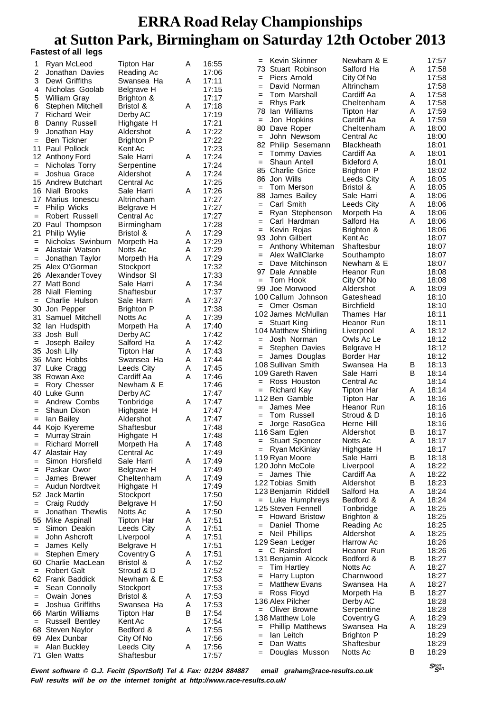#### **Fastest of all legs**

| 1              | Ryan McLeod                       | <b>Tipton Har</b>        | A | 16:55          | Kevin Skinner<br>$=$                  | Newham & E             |   | 17:57          |
|----------------|-----------------------------------|--------------------------|---|----------------|---------------------------------------|------------------------|---|----------------|
|                |                                   |                          |   |                | Stuart Robinson<br>73                 | Salford Ha             | A | 17:58          |
| $\overline{2}$ | Jonathan Davies                   | Reading Ac               |   | 17:06          | Piers Arnold<br>$=$                   | City Of No             |   | 17:58          |
| 3              | Dewi Griffiths                    | Swansea Ha               | A | 17:11          | David Norman<br>$=$                   | Altrincham             |   | 17:58          |
| 4              | Nicholas Goolab                   | Belgrave H               |   | 17:15          | Tom Marshall<br>$=$                   | Cardiff Aa             | Α | 17:58          |
| 5              | William Gray                      | Brighton &               |   | 17:17          | Rhys Park                             | Cheltenham             | Α | 17:58          |
| 6              | Stephen Mitchell                  | Bristol &                | A | 17:18          | $=$                                   |                        |   |                |
| 7              | <b>Richard Weir</b>               | Derby AC                 |   | 17:19          | lan Williams<br>78                    | <b>Tipton Har</b>      | Α | 17:59          |
| 8              | Danny Russell                     | Highgate H               |   | 17:21          | Jon Hopkins<br>$=$                    | Cardiff Aa             | Α | 17:59          |
| 9              | Jonathan Hay                      | Aldershot                | Α | 17:22          | Dave Roper<br>80                      | Cheltenham             | A | 18:00          |
| $=$            | Ben Tickner                       | <b>Brighton P</b>        |   | 17:22          | John Newsom<br>$=$                    | Central Ac             |   | 18:00          |
| 11             | Paul Pollock                      | Kent Ac                  |   | 17:23          | 82<br>Philip Sesemann                 | Blackheath             |   | 18:01          |
|                |                                   |                          | A | 17:24          | <b>Tommy Davies</b><br>$=$            | Cardiff Aa             | Α | 18:01          |
|                | 12 Anthony Ford                   | Sale Harri               |   |                | Shaun Antell<br>$=$                   | <b>Bideford A</b>      |   | 18:01          |
| $=$            | Nicholas Torry                    | Serpentine               |   | 17:24          | <b>Charlie Grice</b><br>85            | <b>Brighton P</b>      |   | 18:02          |
| $=$            | Joshua Grace                      | Aldershot                | A | 17:24          | Jon Wills<br>86                       | Leeds City             |   | 18:05          |
|                | 15 Andrew Butchart                | Central Ac               |   | 17:25          |                                       |                        | Α |                |
|                | 16 Niall Brooks                   | Sale Harri               | A | 17:26          | Tom Merson<br>$=$                     | Bristol &              | A | 18:05          |
| 17             | Marius Ionescu                    | Altrincham               |   | 17:27          | 88<br>James Bailey                    | Sale Harri             | A | 18:06          |
| $=$            | Philip Wicks                      | Belgrave H               |   | 17:27          | Carl Smith<br>$=$                     | Leeds City             | Α | 18:06          |
| $=$            | Robert Russell                    | Central Ac               |   | 17:27          | Ryan Stephenson<br>$=$                | Morpeth Ha             | Α | 18:06          |
|                |                                   |                          |   |                | Carl Hardman<br>$=$                   | Salford Ha             | A | 18:06          |
|                | 20 Paul Thompson                  | Birmingham               |   | 17:28          | Kevin Rojas<br>=                      | Brighton &             |   | 18:06          |
| 21             | <b>Philip Wylie</b>               | Bristol &                | Α | 17:29          | 93<br>John Gilbert                    | Kent Ac                |   | 18:07          |
| $=$            | Nicholas Swinburn                 | Morpeth Ha               | Α | 17:29          |                                       |                        |   |                |
| $=$            | Alastair Watson                   | Notts Ac                 | Α | 17:29          | Anthony Whiteman<br>$=$               | Shaftesbur             |   | 18:07          |
| $=$            | Jonathan Taylor                   | Morpeth Ha               | A | 17:29          | Alex WallClarke<br>=                  | Southampto             |   | 18:07          |
|                | 25 Alex O'Gorman                  | Stockport                |   | 17:32          | Dave Mitchinson<br>$=$                | Newham & E             |   | 18:07          |
|                | 26 Alexander Tovey                | Windsor SI               |   | 17:33          | 97 Dale Annable                       | Heanor Run             |   | 18:08          |
|                |                                   |                          |   |                | Tom Hook<br>$=$                       | City Of No             |   | 18:08          |
| 27             | Matt Bond                         | Sale Harri               | Α | 17:34          | 99<br>Joe Morwood                     | Aldershot              | A | 18:09          |
|                | 28 Niall Fleming                  | Shaftesbur               |   | 17:37          | 100 Callum Johnson                    | Gateshead              |   | 18:10          |
| $=$            | Charlie Hulson                    | Sale Harri               | A | 17:37          |                                       |                        |   |                |
|                | 30 Jon Pepper                     | <b>Brighton P</b>        |   | 17:38          | Omer Osman<br>$=$                     | <b>Birchfield</b>      |   | 18:10          |
| 31             | Samuel Mitchell                   | Notts Ac                 | Α | 17:39          | 102 James McMullan                    | Thames Har             |   | 18:11          |
|                | 32 Ian Hudspith                   | Morpeth Ha               | A | 17:40          | = Stuart King                         | Heanor Run             |   | 18:11          |
|                |                                   |                          |   | 17:42          | 104 Matthew Shirling                  | Liverpool              | Α | 18:12          |
|                | 33 Josh Bull                      | Derby AC                 |   |                | Josh Norman<br>$=$                    | Owls Ac Le             |   | 18:12          |
| $=$            | Joseph Bailey                     | Salford Ha               | A | 17:42          | Stephen Davies<br>$=$                 | Belgrave H             |   | 18:12          |
|                | 35 Josh Lilly                     | <b>Tipton Har</b>        | Α | 17:43          |                                       |                        |   | 18:12          |
|                | 36 Marc Hobbs                     | Swansea Ha               | Α | 17:44          | James Douglas<br>$=$                  | Border Har             |   |                |
|                |                                   |                          |   |                |                                       |                        |   |                |
|                |                                   |                          |   |                | 108 Sullivan Smith                    | Swansea Ha             | В | 18:13          |
|                | 37 Luke Cragg                     | Leeds City               | Α | 17:45          | 109 Gareth Raven                      | Sale Harri             | В | 18:14          |
|                | 38 Rowan Axe                      | Cardiff Aa               | A | 17:46          | Ross Houston<br>$=$                   | Central Ac             |   | 18:14          |
| $=$            | Rory Chesser                      | Newham & E               |   | 17:46          | $=$                                   |                        | Α |                |
|                | 40 Luke Gunn                      | Derby AC                 |   | 17:47          | <b>Richard Kay</b>                    | Tipton Har             |   | 18:14          |
| $=$            | Andrew Combs                      | Tonbridge                | A | 17:47          | 112 Ben Gamble                        | Tipton Har             | A | 18:16          |
| $=$            | Shaun Dixon                       | Highgate H               |   | 17:47          | James Mee<br>$=$                      | Heanor Run             |   | 18:16          |
| $=$            | lan Bailey                        | Aldershot                | A | 17:47          | Tom Russell<br>$=$                    | Stroud & D             |   | 18:16          |
|                |                                   | Shaftesbur               |   | 17:48          | Jorge RasoGea<br>=                    | Herne Hill             |   | 18:16          |
|                | 44 Kojo Kyereme                   |                          |   |                | 116 Sam Eglen                         | Aldershot              | B | 18:17          |
|                | = Murray Strain                   | Highgate H               |   | 17:48          | <b>Stuart Spencer</b><br>=            | Notts Ac               | Α | 18:17          |
|                | <b>Richard Morrell</b>            | Morpeth Ha               | Α | 17:48          | =                                     |                        |   |                |
| 47             | Alastair Hay                      | Central Ac               |   | 17:49          | Ryan McKinlay                         | Highgate H             |   | 18:17          |
| $=$            | Simon Horsfield                   | Sale Harri               | Α | 17:49          | 119 Ryan Moore                        | Sale Harri             | В | 18:18          |
| $=$            | Paskar Owor                       | Belgrave H               |   | 17:49          | 120 John McCole                       | Liverpool              | Α | 18:22          |
| $=$            | James Brewer                      | Cheltenham               | A | 17:49          | James Thie<br>$=$                     | Cardiff Aa             | Α | 18:22          |
| $=$            | Audun Nordtveit                   |                          |   | 17:49          | 122 Tobias Smith                      | Aldershot              | В | 18:23          |
|                |                                   | Highgate H               |   |                | 123 Benjamin Riddell                  | Salford Ha             | Α | 18:24          |
|                | 52 Jack Martin                    | Stockport                |   | 17:50          | $=$ Luke Humphreys                    | Bedford &              | Α | 18:24          |
| $=$            | Craig Ruddy                       | Belgrave H               |   | 17:50          | 125 Steven Fennell                    |                        | Α | 18:25          |
| $=$            | Jonathan Thewlis                  | Notts Ac                 | A | 17:50          |                                       | Tonbridge              |   |                |
|                | 55 Mike Aspinall                  | <b>Tipton Har</b>        | Α | 17:51          | <b>Howard Bristow</b><br>$=$          | Brighton &             |   | 18:25          |
| $=$            | Simon Deakin                      | Leeds City               | A | 17:51          | Daniel Thorne<br>=                    | Reading Ac             |   | 18:25          |
| $=$            | John Ashcroft                     | Liverpool                | Α | 17:51          | Neil Phillips<br>=                    | Aldershot              | Α | 18:25          |
| $=$            |                                   |                          |   |                | 129 Sean Ledger                       | Harrow Ac              |   | 18:26          |
| $=$            | James Kelly                       | Belgrave H               |   | 17:51          | C Rainsford<br>$=$                    | Heanor Run             |   | 18:26          |
|                | Stephen Emery                     | Coventry G               | Α | 17:51          | 131 Benjamin Alcock                   | Bedford &              | В | 18:27          |
| 60.            | Charlie MacLean                   | Bristol &                | A | 17:52          | <b>Tim Hartley</b><br>=               | Notts Ac               | Α | 18:27          |
| $=$            | <b>Robert Galt</b>                | Stroud & D               |   | 17:52          |                                       |                        |   |                |
|                | 62 Frank Baddick                  | Newham & E               |   | 17:53          | Harry Lupton<br>=                     | Charnwood              |   | 18:27          |
| $=$            | Sean Connolly                     | Stockport                |   | 17:53          | <b>Matthew Evans</b><br>=             | Swansea Ha             | Α | 18:27          |
| $=$            | Owain Jones                       | Bristol &                | Α | 17:53          | Ross Floyd<br>$=$                     | Morpeth Ha             | В | 18:27          |
| $=$            | Joshua Griffiths                  | Swansea Ha               | Α |                | 136 Alex Pilcher                      | Derby AC               |   | 18:28          |
|                |                                   |                          | B | 17:53          | Oliver Browne<br>$=$                  | Serpentine             |   | 18:28          |
|                | 66 Martin Williams                | <b>Tipton Har</b>        |   | 17:54          | 138 Matthew Lole                      | Coventry G             | Α | 18:29          |
| $=$            | Russell Bentley                   | Kent Ac                  |   | 17:54          | <b>Phillip Matthews</b><br>=          | Swansea Ha             | Α | 18:29          |
| 68             | <b>Steven Naylor</b>              | Bedford &                | Α | 17:55          | lan Leitch<br>=                       | <b>Brighton P</b>      |   |                |
|                | 69 Alex Dunbar                    | City Of No               |   | 17:56          |                                       |                        |   | 18:29          |
| $=$<br>71      | Alan Buckley<br><b>Glen Watts</b> | Leeds City<br>Shaftesbur | Α | 17:56<br>17:57 | Dan Watts<br>=<br>Douglas Musson<br>= | Shaftesbur<br>Notts Ac | В | 18:29<br>18:29 |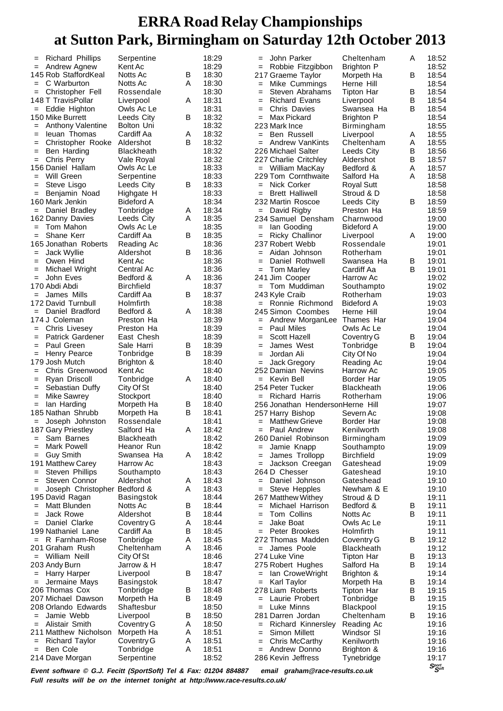| $=$        | <b>Richard Phillips</b>                                         | Serpentine               |   | 18:29          | $=$                  | John Parker                            | Cheltenham                     | A      | 18:52                          |
|------------|-----------------------------------------------------------------|--------------------------|---|----------------|----------------------|----------------------------------------|--------------------------------|--------|--------------------------------|
| $=$        | Andrew Agnew                                                    | Kent Ac                  |   | 18:29          | $=$                  | Robbie Fitzgibbon                      | <b>Brighton P</b>              |        | 18:52                          |
|            | 145 Rob StaffordKeal                                            | Notts Ac                 | В | 18:30          |                      | 217 Graeme Taylor                      | Morpeth Ha                     | B      | 18:54                          |
| $=$        | C Warburton                                                     | Notts Ac                 | A | 18:30          | $=$                  | Mike Cummings                          | Herne Hill                     |        | 18:54                          |
| $=$        | Christopher Fell                                                | Rossendale               |   | 18:30          | $=$                  | Steven Abrahams                        | Tipton Har                     | В      | 18:54                          |
|            | 148 T TravisPollar                                              | Liverpool                | A | 18:31          | $=$                  | <b>Richard Evans</b>                   | Liverpool                      | В      | 18:54                          |
| $=$        | Eddie Highton                                                   | Owls Ac Le               |   | 18:31          | $=$                  | Chris Davies                           | Swansea Ha                     | B      | 18:54                          |
|            | 150 Mike Burrett<br><b>Anthony Valentine</b>                    | Leeds City<br>Bolton Uni | В | 18:32<br>18:32 | $=$<br>223 Mark Ince | Max Pickard                            | <b>Brighton P</b>              |        | 18:54<br>18:55                 |
| $=$<br>$=$ | leuan Thomas                                                    | Cardiff Aa               | Α | 18:32          | $=$                  | Ben Russell                            | Birmingham<br>Liverpool        | A      | 18:55                          |
| $=$        | Christopher Rooke                                               | Aldershot                | B | 18:32          | $=$                  | <b>Andrew VanKints</b>                 | Cheltenham                     | Α      | 18:55                          |
| $=$        | Ben Harding                                                     | <b>Blackheath</b>        |   | 18:32          |                      | 226 Michael Salter                     | Leeds City                     | В      | 18:56                          |
| $=$        | Chris Perry                                                     | Vale Royal               |   | 18:32          |                      | 227 Charlie Critchley                  | Aldershot                      | B      | 18:57                          |
|            | 156 Daniel Hallam                                               | Owls Ac Le               |   | 18:33          |                      | = William MacKay                       | Bedford &                      | A      | 18:57                          |
| $=$        | Will Green                                                      | Serpentine               |   | 18:33          |                      | 229 Tom Cornthwaite                    | Salford Ha                     | A      | 18:58                          |
| $=$        | Steve Lisgo                                                     | Leeds City               | В | 18:33          | $=$                  | Nick Corker                            | <b>Royal Sutt</b>              |        | 18:58                          |
| $=$        | Benjamin Noad                                                   | Highgate H               |   | 18:33          | $=$                  | <b>Brett Halliwell</b>                 | Stroud & D                     |        | 18:58                          |
|            | 160 Mark Jenkin                                                 | Bideford A               |   | 18:34          |                      | 232 Martin Roscoe                      | Leeds City                     | B      | 18:59                          |
| $=$        | Daniel Bradley                                                  | Tonbridge                | A | 18:34          | $=$ David Rigby      |                                        | Preston Ha                     |        | 18:59                          |
|            | 162 Danny Davies<br>$=$ Tom Mahon                               | Leeds City               | Α | 18:35<br>18:35 |                      | 234 Samuel Densham<br>lan Gooding      | Charnwood                      |        | 19:00<br>19:00                 |
| $=$        | Shane Kerr                                                      | Owls Ac Le<br>Cardiff Aa | В | 18:35          | $=$<br>$=$           | <b>Ricky Challinor</b>                 | Bideford A<br>Liverpool        | A      | 19:00                          |
|            | 165 Jonathan Roberts                                            | Reading Ac               |   | 18:36          | 237 Robert Webb      |                                        | Rossendale                     |        | 19:01                          |
| $=$        | Jack Wyllie                                                     | Aldershot                | В | 18:36          | $=$                  | Aidan Johnson                          | Rotherham                      |        | 19:01                          |
| $=$        | Owen Hind                                                       | Kent Ac                  |   | 18:36          | $=$                  | Daniel Rothwell                        | Swansea Ha                     | B      | 19:01                          |
| $=$        | Michael Wright                                                  | Central Ac               |   | 18:36          | $=$                  | Tom Marley                             | Cardiff Aa                     | B      | 19:01                          |
| $=$        | John Eves                                                       | Bedford &                | A | 18:36          | 241 Jim Cooper       |                                        | Harrow Ac                      |        | 19:02                          |
|            | 170 Abdi Abdi                                                   | <b>Birchfield</b>        |   | 18:37          |                      | = Tom Muddiman                         | Southampto                     |        | 19:02                          |
| $=$        | James Mills                                                     | Cardiff Aa               | В | 18:37          | 243 Kyle Craib       |                                        | Rotherham                      |        | 19:03                          |
|            | 172 David Turnbull                                              | Holmfirth                |   | 18:38          |                      | = Ronnie Richmond                      | <b>Bideford A</b>              |        | 19:03                          |
| $=$        | Daniel Bradford                                                 | Bedford &                | Α | 18:38          |                      | 245 Simon Coombes                      | Herne Hill                     |        | 19:04                          |
|            | 174 J Coleman                                                   | Preston Ha               |   | 18:39          |                      | = Andrew MorganLee                     | Thames Har                     |        | 19:04                          |
| $=$        | <b>Chris Livesey</b>                                            | Preston Ha               |   | 18:39          | $=$                  | Paul Miles                             | Owls Ac Le                     |        | 19:04                          |
| $=$<br>$=$ | <b>Patrick Gardener</b><br>Paul Green                           | East Chesh<br>Sale Harri | В | 18:39<br>18:39 | $=$                  | Scott Hazell<br>James West             | Coventry G                     | B<br>B | 19:04<br>19:04                 |
| $=$        | Henry Pearce                                                    | Tonbridge                | В | 18:39          | $=$<br>$=$           | Jordan Ali                             | Tonbridge<br>City Of No        |        | 19:04                          |
|            | 179 Josh Mutch                                                  | Brighton &               |   | 18:40          | $=$                  | Jack Gregory                           | Reading Ac                     |        | 19:04                          |
| $=$        | Chris Greenwood                                                 | Kent Ac                  |   | 18:40          |                      | 252 Damian Nevins                      | Harrow Ac                      |        | 19:05                          |
| $=$        | Ryan Driscoll                                                   | Tonbridge                | A | 18:40          | = Kevin Bell         |                                        | Border Har                     |        | 19:05                          |
| $=$        | Sebastian Duffy                                                 | City Of St               |   | 18:40          | 254 Peter Tucker     |                                        | Blackheath                     |        | 19:06                          |
| $=$        | Mike Sawrey                                                     | Stockport                |   | 18:40          |                      | = Richard Harris                       | Rotherham                      |        | 19:06                          |
| $=$        | lan Harding                                                     | Morpeth Ha               | B | 18:40          |                      | 256 Jonathan HendersonHerne Hill       |                                |        | 19:07                          |
|            | 185 Nathan Shrubb                                               | Morpeth Ha               | В | 18:41          | 257 Harry Bishop     |                                        | Severn Ac                      |        | 19:08                          |
| $=$        | Joseph Johnston                                                 | Rossendale               |   | 18:41          |                      | = Matthew Grieve                       | Border Har                     |        | 19:08                          |
|            | 187 Gary Priestley                                              | Salford Ha               | A | 18:42          |                      | = Paul Andrew                          | Kenilworth                     |        | 19:08                          |
| $=$        | Sam Barnes                                                      | Blackheath               |   | 18:42          |                      | 260 Daniel Robinson                    | Birmingham                     |        | 19:09                          |
| $=$        | Mark Powell                                                     | Heanor Run               |   | 18:42<br>18:42 | $=$                  | Jamie Knapp                            | Southampto                     |        | 19:09                          |
| $=$        | <b>Guy Smith</b><br>191 Matthew Carey                           | Swansea Ha<br>Harrow Ac  | A | 18:43          | =<br>$=$             | James Trollopp<br>Jackson Creegan      | <b>Birchfield</b><br>Gateshead |        | 19:09<br>19:09                 |
| $=$        | <b>Steven Phillips</b>                                          | Southampto               |   | 18:43          | 264 D Chesser        |                                        | Gateshead                      |        | 19:10                          |
| $=$        | Steven Connor                                                   | Aldershot                | A | 18:43          | $=$                  | Daniel Johnson                         | Gateshead                      |        | 19:10                          |
| $=$        | Joseph Christopher Bedford &                                    |                          | Α | 18:43          |                      | $=$ Steve Hepples                      | Newham & E                     |        | 19:10                          |
|            | 195 David Ragan                                                 | Basingstok               |   | 18:44          |                      | 267 Matthew Withey                     | Stroud & D                     |        | 19:11                          |
| $=$        | Matt Blunden                                                    | Notts Ac                 | B | 18:44          | $=$                  | Michael Harrison                       | Bedford &                      | B      | 19:11                          |
| $=$        | Jack Rowe                                                       | Aldershot                | В | 18:44          | $=$                  | Tom Collins                            | Notts Ac                       | В      | 19:11                          |
| $=$        | Daniel Clarke                                                   | Coventry G               | Α | 18:44          | $=$                  | Jake Boat                              | Owls Ac Le                     |        | 19:11                          |
|            | 199 Nathaniel Lane                                              | Cardiff Aa               | B | 18:45          | $=$                  | Peter Brookes                          | Holmfirth                      |        | 19:11                          |
| $=$        | R Farnham-Rose                                                  | Tonbridge                | Α | 18:45          |                      | 272 Thomas Madden                      | Coventry G                     | В      | 19:12                          |
|            | 201 Graham Rush                                                 | Cheltenham               | A | 18:46          |                      | =  James  Poole                        | <b>Blackheath</b>              |        | 19:12                          |
|            | = William Neill                                                 | City Of St               |   | 18:46          | 274 Luke Vine        |                                        | <b>Tipton Har</b>              | B      | 19:13                          |
|            | 203 Andy Burn<br>Harry Harper                                   | Jarrow & H<br>Liverpool  | В | 18:47<br>18:47 |                      | 275 Robert Hughes<br>= Ian CroweWright | Salford Ha                     | в      | 19:14<br>19:14                 |
| $=$<br>$=$ | Jermaine Mays                                                   | Basingstok               |   | 18:47          | $=$                  | Karl Taylor                            | Brighton &<br>Morpeth Ha       | В      | 19:14                          |
|            | 206 Thomas Cox                                                  | Tonbridge                | В | 18:48          |                      | 278 Liam Roberts                       | <b>Tipton Har</b>              | B      | 19:15                          |
|            | 207 Michael Dawson                                              | Morpeth Ha               | В | 18:49          | $=$                  | Laurie Probert                         | Tonbridge                      | B      | 19:15                          |
|            | 208 Orlando Edwards                                             | Shaftesbur               |   | 18:50          | $=$                  | Luke Minns                             | Blackpool                      |        | 19:15                          |
| $=$        | Jamie Webb                                                      | Liverpool                | В | 18:50          |                      | 281 Darren Jordan                      | Cheltenham                     | B      | 19:16                          |
| $=$        | Alistair Smith                                                  | Coventry G               | Α | 18:50          | $=$                  | <b>Richard Kinnersley</b>              | Reading Ac                     |        | 19:16                          |
|            | 211 Matthew Nicholson                                           | Morpeth Ha               | A | 18:51          | $=$                  | Simon Millett                          | Windsor SI                     |        | 19:16                          |
| $=$        | <b>Richard Taylor</b>                                           | Coventry G               | A | 18:51          | $=$                  | Chris McCarthy                         | Kenilworth                     |        | 19:16                          |
| $=$        | Ben Cole                                                        | Tonbridge                | Α | 18:51          |                      | Andrew Donno                           | Brighton &                     |        | 19:16                          |
|            | 214 Dave Morgan                                                 | Serpentine               |   | 18:52          |                      | 286 Kevin Jeffress                     | Tynebridge                     |        | 19:17                          |
|            | Event software © G J Fecitt (SportSoft) Tel & Fax: 01204 884887 |                          |   |                |                      | email araham@race-results couk         |                                |        | $S_{\mathcal{S}^{opt}}^{port}$ |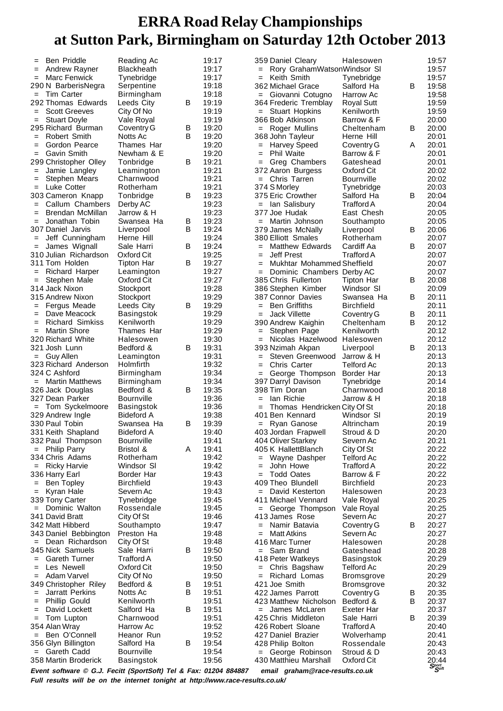|            | <b>Ben Priddle</b>                                               | Reading Ac                     |   | 19:17          | 359 Daniel Cleary                           | Halesowen                |   | 19:57                                   |
|------------|------------------------------------------------------------------|--------------------------------|---|----------------|---------------------------------------------|--------------------------|---|-----------------------------------------|
| $=$        | Andrew Rayner                                                    | Blackheath                     |   | 19:17          | Rory GrahamWatsonWindsor SI                 |                          |   | 19:57                                   |
| $=$        | <b>Marc Fenwick</b>                                              | Tynebridge                     |   | 19:17          | Keith Smith<br>$=$                          | Tynebridge               |   | 19:57                                   |
|            | 290 N BarberisNegra                                              | Serpentine                     |   | 19:18          | 362 Michael Grace                           | Salford Ha               | в | 19:58                                   |
| $=$        | Tim Carter                                                       | Birmingham                     |   | 19:18          | = Giovanni Cotugno                          | Harrow Ac                |   | 19:58                                   |
|            | 292 Thomas Edwards<br><b>Scott Greeves</b>                       | Leeds City                     | В | 19:19<br>19:19 | 364 Frederic Tremblay<br>$=$ Stuart Hopkins | <b>Royal Sutt</b>        |   | 19:59                                   |
| $=$<br>$=$ | <b>Stuart Doyle</b>                                              | City Of No<br>Vale Royal       |   | 19:19          | 366 Bob Atkinson                            | Kenilworth<br>Barrow & F |   | 19:59<br>20:00                          |
|            | 295 Richard Burman                                               | Coventry G                     | B | 19:20          | = Roger Mullins                             | Cheltenham               | B | 20:00                                   |
| $=$        | <b>Robert Smith</b>                                              | Notts Ac                       | В | 19:20          | 368 John Tayleur                            | Herne Hill               |   | 20:01                                   |
| $=$        | Gordon Pearce                                                    | Thames Har                     |   | 19:20          | Harvey Speed<br>$=$                         | Coventry G               | A | 20:01                                   |
| $=$        | <b>Gavin Smith</b>                                               | Newham & E                     |   | 19:20          | <b>Phil Waite</b><br>$=$                    | Barrow & F               |   | 20:01                                   |
|            | 299 Christopher Olley                                            | Tonbridge                      | В | 19:21          | Greg Chambers<br>$=$                        | Gateshead                |   | 20:01                                   |
| $=$        | Jamie Langley                                                    | Leamington                     |   | 19:21          | 372 Aaron Burgess                           | Oxford Cit               |   | 20:02                                   |
| $=$        | Stephen Mears                                                    | Charnwood                      |   | 19:21          | $=$ Chris Tarren                            | Bournville               |   | 20:02                                   |
| $=$        | <b>Luke Cotter</b>                                               | Rotherham                      |   | 19:21          | 374 S Morley                                | Tynebridge               |   | 20:03                                   |
|            | 303 Cameron Knapp                                                | Tonbridge                      | В | 19:23          | 375 Eric Crowther                           | Salford Ha               | B | 20:04                                   |
| $=$<br>$=$ | Callum Chambers<br>Brendan McMillan                              | Derby AC<br>Jarrow & H         |   | 19:23<br>19:23 | = Ian Salisbury<br>377 Joe Hudak            | Trafford A<br>East Chesh |   | 20:04<br>20:05                          |
| $=$        | Jonathan Tobin                                                   | Swansea Ha                     | B | 19:23          | = Martin Johnson                            | Southampto               |   | 20:05                                   |
|            | 307 Daniel Jarvis                                                | Liverpool                      | B | 19:24          | 379 James McNally                           | Liverpool                | B | 20:06                                   |
| $=$        | Jeff Cunningham                                                  | Herne Hill                     |   | 19:24          | 380 Elliott Smales                          | Rotherham                |   | 20:07                                   |
| $=$        | James Wignall                                                    | Sale Harri                     | В | 19:24          | <b>Matthew Edwards</b>                      | Cardiff Aa               | В | 20:07                                   |
|            | 310 Julian Richardson                                            | Oxford Cit                     |   | 19:25          | Jeff Prest<br>$=$                           | Trafford A               |   | 20:07                                   |
|            | 311 Tom Holden                                                   | Tipton Har                     | В | 19:27          | Mukhtar Mohammed Sheffield<br>$=$           |                          |   | 20:07                                   |
| $=$        | Richard Harper                                                   | Leamington                     |   | 19:27          | Dominic Chambers Derby AC<br>$=$            |                          |   | 20:07                                   |
| $=$        | Stephen Male                                                     | Oxford Cit                     |   | 19:27          | 385 Chris Fullerton                         | <b>Tipton Har</b>        | В | 20:08                                   |
|            | 314 Jack Nixon                                                   | Stockport                      |   | 19:28          | 386 Stephen Kimber                          | Windsor SI               |   | 20:09                                   |
|            | 315 Andrew Nixon                                                 | Stockport<br>Leeds City        | B | 19:29<br>19:29 | 387 Connor Davies<br><b>Ben Griffiths</b>   | Swansea Ha               | В | 20:11<br>20:11                          |
| $=$<br>$=$ | Fergus Meade<br>Dave Meacock                                     | Basingstok                     |   | 19:29          | $=$<br><b>Jack Villette</b><br>$=$          | Birchfield<br>Coventry G | B | 20:11                                   |
| $=$        | <b>Richard Simkiss</b>                                           | Kenilworth                     |   | 19:29          | 390 Andrew Kaighin                          | Cheltenham               | B | 20:12                                   |
| $=$        | <b>Martin Shore</b>                                              | Thames Har                     |   | 19:29          | Stephen Page<br>$=$                         | Kenilworth               |   | 20:12                                   |
|            | 320 Richard White                                                | Halesowen                      |   | 19:30          | Nicolas Hazelwood<br>$=$                    | Halesowen                |   | 20:12                                   |
|            | 321 Josh Lunn                                                    | Bedford &                      | В | 19:31          | 393 Nzimah Akpan                            | Liverpool                | B | 20:13                                   |
|            | $=$ Guy Allen                                                    | Leamington                     |   | 19:31          | Steven Greenwood<br>$=$                     | Jarrow & H               |   | 20:13                                   |
|            | 323 Richard Anderson                                             | Holmfirth                      |   | 19:32          | Chris Carter<br>$=$                         | <b>Telford Ac</b>        |   | 20:13                                   |
|            | 324 C Ashford                                                    | Birmingham                     |   | 19:34          | George Thompson                             | Border Har               |   | 20:13                                   |
|            | = Martin Matthews                                                | Birmingham                     |   | 19:34          | 397 Darryl Davison                          | Tynebridge               |   | 20:14                                   |
|            | 326 Jack Douglas<br>327 Dean Parker                              | Bedford &                      | В | 19:35          | 398 Tim Doran<br>lan Richie                 | Charnwood                |   | 20:18                                   |
|            |                                                                  | <b>Bournville</b>              |   | 19:36<br>19:36 | $=$<br>Thomas Hendricken City Of St<br>$=$  | Jarrow & H               |   | 20:18<br>20:18                          |
|            | = Tom Syckelmoore<br>329 Andrew Ingle                            | Basingstok<br>Bideford A       |   | 19:38          | 401 Ben Kennard                             | Windsor SI               |   | 20:19                                   |
|            | 330 Paul Tobin                                                   | Swansea Ha                     | В | 19:39          | = Ryan Ganose                               | Altrincham               |   | 20:19                                   |
|            | 331 Keith Shapland                                               | <b>Bideford A</b>              |   | 19:40          | 403 Jordan Frapwell                         | Stroud & D               |   | 20:20                                   |
|            | 332 Paul Thompson                                                | <b>Bournville</b>              |   | 19:41          | 404 Oliver Starkey                          | Severn Ac                |   | 20:21                                   |
|            | $=$ Philip Parry                                                 | Bristol &                      | A | 19:41          | 405 K HallettBlanch                         | City Of St               |   | 20:22                                   |
|            | 334 Chris Adams                                                  | Rotherham                      |   | 19:42          | Wayne Dashper<br>$=$                        | Telford Ac               |   | 20:22                                   |
| $=$        | <b>Ricky Harvie</b>                                              | Windsor SI                     |   | 19:42          | John Howe<br>$=$                            | Trafford A               |   | 20:22                                   |
|            | 336 Harry Earl                                                   | Border Har                     |   | 19:43          | <b>Todd Oates</b><br>$=$                    | Barrow & F               |   | 20:22                                   |
| $=$        | Ben Topley                                                       | <b>Birchfield</b><br>Severn Ac |   | 19:43<br>19:43 | 409 Theo Blundell<br>= David Kesterton      | Birchfield               |   | 20:23                                   |
| $=$        | Kyran Hale<br>339 Tony Carter                                    | Tynebridge                     |   | 19:45          | 411 Michael Vennard                         | Halesowen<br>Vale Royal  |   | 20:23<br>20:25                          |
| $=$        | Dominic Walton                                                   | Rossendale                     |   | 19:45          | = George Thompson                           | Vale Royal               |   | 20:25                                   |
|            | 341 David Bratt                                                  | City Of St                     |   | 19:46          | 413 James Rose                              | Severn Ac                |   | 20:27                                   |
|            | 342 Matt Hibberd                                                 | Southampto                     |   | 19:47          | Namir Batavia<br>$=$                        | Coventry G               | В | 20:27                                   |
|            | 343 Daniel Bebbington                                            | Preston Ha                     |   | 19:48          | <b>Matt Atkins</b><br>$=$                   | Severn Ac                |   | 20:27                                   |
|            | = Dean Richardson                                                | City Of St                     |   | 19:48          | 416 Marc Turner                             | Halesowen                |   | 20:28                                   |
|            | 345 Nick Samuels                                                 | Sale Harri                     | В | 19:50          | = Sam Brand                                 | Gateshead                |   | 20:28                                   |
| $=$        | <b>Gareth Turner</b>                                             | Trafford A                     |   | 19:50          | 418 Peter Watkeys                           | Basingstok               |   | 20:29                                   |
| $=$        | Les Newell                                                       | Oxford Cit                     |   | 19:50          | = Chris Bagshaw                             | <b>Telford Ac</b>        |   | 20:29                                   |
| $=$        | Adam Varvel                                                      | City Of No<br>Bedford &        | B | 19:50<br>19:51 | = Richard Lomas<br>421 Joe Smith            | Bromsgrove               |   | 20:29<br>20:32                          |
| $=$        | 349 Christopher Riley<br>Jarratt Perkins                         | Notts Ac                       | B | 19:51          | 422 James Parrott                           | Bromsgrove<br>Coventry G | B | 20:35                                   |
| $=$        | Phillip Gould                                                    | Kenilworth                     |   | 19:51          | 423 Matthew Nicholson                       | Bedford &                | B | 20:37                                   |
| $=$        | David Lockett                                                    | Salford Ha                     | В | 19:51          | = James McLaren                             | Exeter Har               |   | 20:37                                   |
| $=$        | Tom Lupton                                                       | Charnwood                      |   | 19:51          | 425 Chris Middleton                         | Sale Harri               | B | 20:39                                   |
|            | 354 Alan Wray                                                    | Harrow Ac                      |   | 19:52          | 426 Robert Sloane                           | Trafford A               |   | 20:40                                   |
| $=$        | Ben O'Connell                                                    | Heanor Run                     |   | 19:52          | 427 Daniel Brazier                          | Wolverhamp               |   | 20:41                                   |
|            | 356 Glyn Billington                                              | Salford Ha                     | В | 19:54          | 428 Philip Bolton                           | Rossendale               |   | 20:43                                   |
|            | $=$ Gareth Cadd                                                  | <b>Bournville</b>              |   | 19:54          | = George Robinson                           | Stroud & D               |   | 20:43                                   |
|            | 358 Martin Broderick                                             | Basingstok                     |   | 19:56          | 430 Matthieu Marshall                       | Oxford Cit               |   | 20:44<br>$S_{\mathcal{S}^{opt}}^{port}$ |
|            | Event software © G.J. Fecitt (SportSoft) Tel & Fax: 01204 884887 |                                |   |                | email araham@race-results.co.uk             |                          |   |                                         |